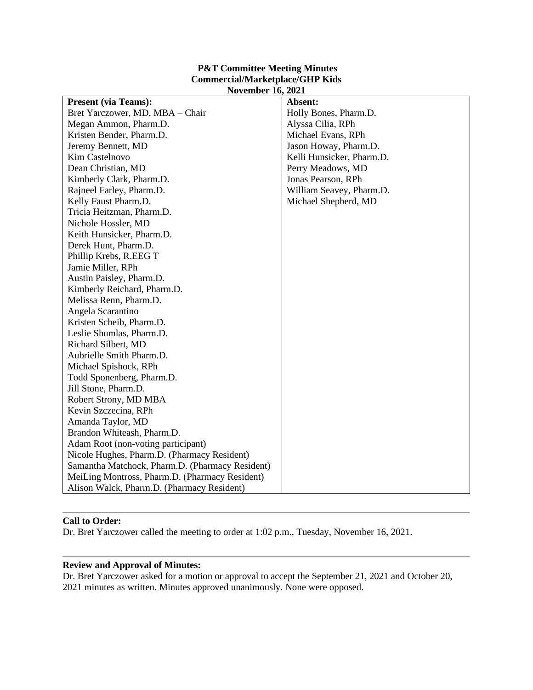# **P&T Committee Meeting Minutes Commercial/Marketplace/GHP Kids November 16, 2021**

| <b>Present (via Teams):</b>                     | Absent:                   |
|-------------------------------------------------|---------------------------|
| Bret Yarczower, MD, MBA - Chair                 | Holly Bones, Pharm.D.     |
| Megan Ammon, Pharm.D.                           | Alyssa Cilia, RPh         |
| Kristen Bender, Pharm.D.                        | Michael Evans, RPh        |
| Jeremy Bennett, MD                              | Jason Howay, Pharm.D.     |
| Kim Castelnovo                                  | Kelli Hunsicker, Pharm.D. |
| Dean Christian, MD                              | Perry Meadows, MD         |
| Kimberly Clark, Pharm.D.                        | Jonas Pearson, RPh        |
| Rajneel Farley, Pharm.D.                        | William Seavey, Pharm.D.  |
| Kelly Faust Pharm.D.                            | Michael Shepherd, MD      |
| Tricia Heitzman, Pharm.D.                       |                           |
| Nichole Hossler, MD                             |                           |
| Keith Hunsicker, Pharm.D.                       |                           |
| Derek Hunt, Pharm.D.                            |                           |
| Phillip Krebs, R.EEG T                          |                           |
| Jamie Miller, RPh                               |                           |
| Austin Paisley, Pharm.D.                        |                           |
| Kimberly Reichard, Pharm.D.                     |                           |
| Melissa Renn, Pharm.D.                          |                           |
| Angela Scarantino                               |                           |
| Kristen Scheib, Pharm.D.                        |                           |
| Leslie Shumlas, Pharm.D.                        |                           |
| Richard Silbert, MD                             |                           |
| Aubrielle Smith Pharm.D.                        |                           |
| Michael Spishock, RPh                           |                           |
| Todd Sponenberg, Pharm.D.                       |                           |
| Jill Stone, Pharm.D.                            |                           |
| Robert Strony, MD MBA                           |                           |
| Kevin Szczecina, RPh                            |                           |
| Amanda Taylor, MD                               |                           |
| Brandon Whiteash, Pharm.D.                      |                           |
| Adam Root (non-voting participant)              |                           |
| Nicole Hughes, Pharm.D. (Pharmacy Resident)     |                           |
| Samantha Matchock, Pharm.D. (Pharmacy Resident) |                           |
| MeiLing Montross, Pharm.D. (Pharmacy Resident)  |                           |
| Alison Walck, Pharm.D. (Pharmacy Resident)      |                           |

# **Call to Order:**

Dr. Bret Yarczower called the meeting to order at 1:02 p.m., Tuesday, November 16, 2021.

# **Review and Approval of Minutes:**

Dr. Bret Yarczower asked for a motion or approval to accept the September 21, 2021 and October 20, 2021 minutes as written. Minutes approved unanimously. None were opposed.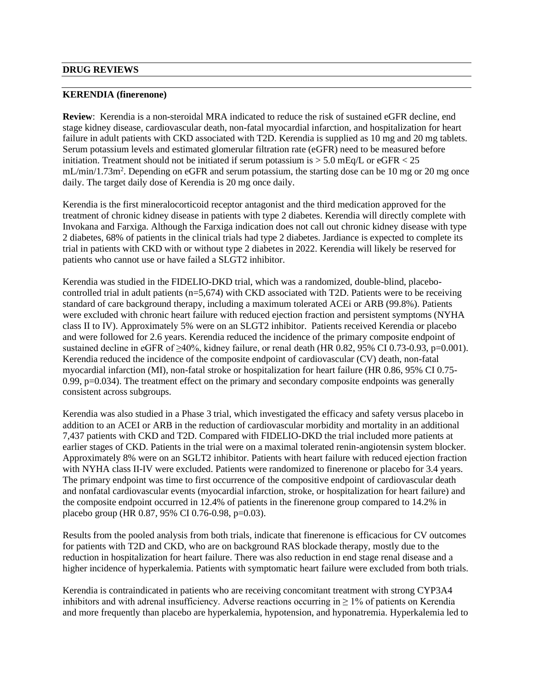#### **DRUG REVIEWS**

#### **KERENDIA (finerenone)**

**Review**: Kerendia is a non-steroidal MRA indicated to reduce the risk of sustained eGFR decline, end stage kidney disease, cardiovascular death, non-fatal myocardial infarction, and hospitalization for heart failure in adult patients with CKD associated with T2D. Kerendia is supplied as 10 mg and 20 mg tablets. Serum potassium levels and estimated glomerular filtration rate (eGFR) need to be measured before initiation. Treatment should not be initiated if serum potassium is  $> 5.0$  mEq/L or eGFR  $< 25$ mL/min/1.73m<sup>2</sup>. Depending on eGFR and serum potassium, the starting dose can be 10 mg or 20 mg once daily. The target daily dose of Kerendia is 20 mg once daily.

Kerendia is the first mineralocorticoid receptor antagonist and the third medication approved for the treatment of chronic kidney disease in patients with type 2 diabetes. Kerendia will directly complete with Invokana and Farxiga. Although the Farxiga indication does not call out chronic kidney disease with type 2 diabetes, 68% of patients in the clinical trials had type 2 diabetes. Jardiance is expected to complete its trial in patients with CKD with or without type 2 diabetes in 2022. Kerendia will likely be reserved for patients who cannot use or have failed a SLGT2 inhibitor.

Kerendia was studied in the FIDELIO-DKD trial, which was a randomized, double-blind, placebocontrolled trial in adult patients (n=5,674) with CKD associated with T2D. Patients were to be receiving standard of care background therapy, including a maximum tolerated ACEi or ARB (99.8%). Patients were excluded with chronic heart failure with reduced ejection fraction and persistent symptoms (NYHA class II to IV). Approximately 5% were on an SLGT2 inhibitor. Patients received Kerendia or placebo and were followed for 2.6 years. Kerendia reduced the incidence of the primary composite endpoint of sustained decline in eGFR of ≥40%, kidney failure, or renal death (HR 0.82, 95% CI 0.73-0.93, p=0.001). Kerendia reduced the incidence of the composite endpoint of cardiovascular (CV) death, non-fatal myocardial infarction (MI), non-fatal stroke or hospitalization for heart failure (HR 0.86, 95% CI 0.75- 0.99, p=0.034). The treatment effect on the primary and secondary composite endpoints was generally consistent across subgroups.

Kerendia was also studied in a Phase 3 trial, which investigated the efficacy and safety versus placebo in addition to an ACEI or ARB in the reduction of cardiovascular morbidity and mortality in an additional 7,437 patients with CKD and T2D. Compared with FIDELIO-DKD the trial included more patients at earlier stages of CKD. Patients in the trial were on a maximal tolerated renin-angiotensin system blocker. Approximately 8% were on an SGLT2 inhibitor. Patients with heart failure with reduced ejection fraction with NYHA class II-IV were excluded. Patients were randomized to finerenone or placebo for 3.4 years. The primary endpoint was time to first occurrence of the compositive endpoint of cardiovascular death and nonfatal cardiovascular events (myocardial infarction, stroke, or hospitalization for heart failure) and the composite endpoint occurred in 12.4% of patients in the finerenone group compared to 14.2% in placebo group (HR 0.87, 95% CI 0.76-0.98, p=0.03).

Results from the pooled analysis from both trials, indicate that finerenone is efficacious for CV outcomes for patients with T2D and CKD, who are on background RAS blockade therapy, mostly due to the reduction in hospitalization for heart failure. There was also reduction in end stage renal disease and a higher incidence of hyperkalemia. Patients with symptomatic heart failure were excluded from both trials.

Kerendia is contraindicated in patients who are receiving concomitant treatment with strong CYP3A4 inhibitors and with adrenal insufficiency. Adverse reactions occurring in  $\geq 1\%$  of patients on Kerendia and more frequently than placebo are hyperkalemia, hypotension, and hyponatremia. Hyperkalemia led to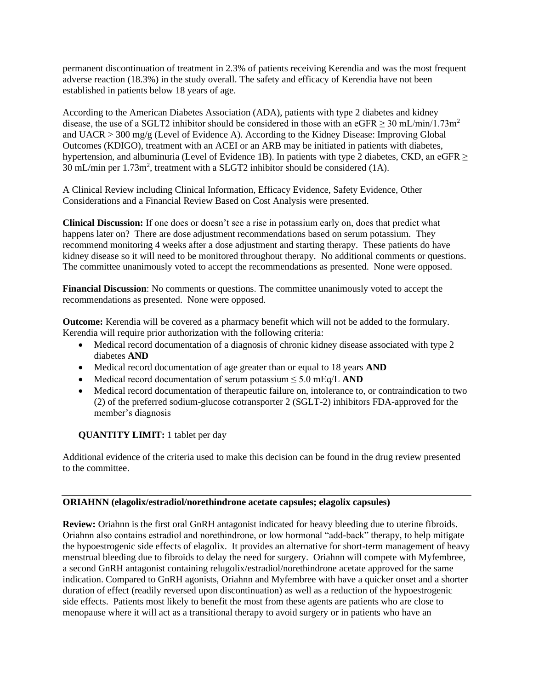permanent discontinuation of treatment in 2.3% of patients receiving Kerendia and was the most frequent adverse reaction (18.3%) in the study overall. The safety and efficacy of Kerendia have not been established in patients below 18 years of age.

According to the American Diabetes Association (ADA), patients with type 2 diabetes and kidney disease, the use of a SGLT2 inhibitor should be considered in those with an eGFR  $\geq$  30 mL/min/1.73m<sup>2</sup> and UACR > 300 mg/g (Level of Evidence A). According to the Kidney Disease: Improving Global Outcomes (KDIGO), treatment with an ACEI or an ARB may be initiated in patients with diabetes, hypertension, and albuminuria (Level of Evidence 1B). In patients with type 2 diabetes, CKD, an eGFR ≥ 30 mL/min per  $1.73m^2$ , treatment with a SLGT2 inhibitor should be considered (1A).

A Clinical Review including Clinical Information, Efficacy Evidence, Safety Evidence, Other Considerations and a Financial Review Based on Cost Analysis were presented.

**Clinical Discussion:** If one does or doesn't see a rise in potassium early on, does that predict what happens later on? There are dose adjustment recommendations based on serum potassium. They recommend monitoring 4 weeks after a dose adjustment and starting therapy. These patients do have kidney disease so it will need to be monitored throughout therapy. No additional comments or questions. The committee unanimously voted to accept the recommendations as presented. None were opposed.

**Financial Discussion**: No comments or questions. The committee unanimously voted to accept the recommendations as presented. None were opposed.

**Outcome:** Kerendia will be covered as a pharmacy benefit which will not be added to the formulary. Kerendia will require prior authorization with the following criteria:

- Medical record documentation of a diagnosis of chronic kidney disease associated with type 2 diabetes **AND**
- Medical record documentation of age greater than or equal to 18 years **AND**
- Medical record documentation of serum potassium ≤ 5.0 mEq/L **AND**
- Medical record documentation of therapeutic failure on, intolerance to, or contraindication to two (2) of the preferred sodium-glucose cotransporter 2 (SGLT-2) inhibitors FDA-approved for the member's diagnosis

## **QUANTITY LIMIT:** 1 tablet per day

Additional evidence of the criteria used to make this decision can be found in the drug review presented to the committee.

## **ORIAHNN (elagolix/estradiol/norethindrone acetate capsules; elagolix capsules)**

**Review:** Oriahnn is the first oral GnRH antagonist indicated for heavy bleeding due to uterine fibroids. Oriahnn also contains estradiol and norethindrone, or low hormonal "add-back" therapy, to help mitigate the hypoestrogenic side effects of elagolix. It provides an alternative for short-term management of heavy menstrual bleeding due to fibroids to delay the need for surgery. Oriahnn will compete with Myfembree, a second GnRH antagonist containing relugolix/estradiol/norethindrone acetate approved for the same indication. Compared to GnRH agonists, Oriahnn and Myfembree with have a quicker onset and a shorter duration of effect (readily reversed upon discontinuation) as well as a reduction of the hypoestrogenic side effects. Patients most likely to benefit the most from these agents are patients who are close to menopause where it will act as a transitional therapy to avoid surgery or in patients who have an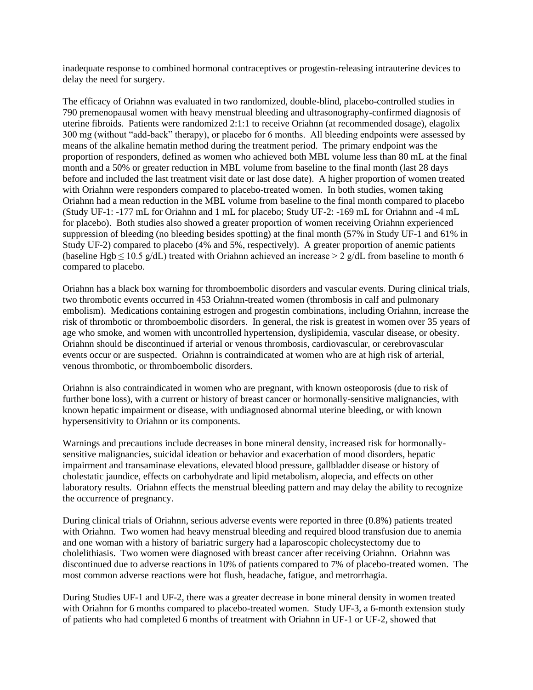inadequate response to combined hormonal contraceptives or progestin-releasing intrauterine devices to delay the need for surgery.

The efficacy of Oriahnn was evaluated in two randomized, double-blind, placebo-controlled studies in 790 premenopausal women with heavy menstrual bleeding and ultrasonography-confirmed diagnosis of uterine fibroids. Patients were randomized 2:1:1 to receive Oriahnn (at recommended dosage), elagolix 300 mg (without "add-back" therapy), or placebo for 6 months. All bleeding endpoints were assessed by means of the alkaline hematin method during the treatment period. The primary endpoint was the proportion of responders, defined as women who achieved both MBL volume less than 80 mL at the final month and a 50% or greater reduction in MBL volume from baseline to the final month (last 28 days before and included the last treatment visit date or last dose date). A higher proportion of women treated with Oriahnn were responders compared to placebo-treated women. In both studies, women taking Oriahnn had a mean reduction in the MBL volume from baseline to the final month compared to placebo (Study UF-1: -177 mL for Oriahnn and 1 mL for placebo; Study UF-2: -169 mL for Oriahnn and -4 mL for placebo). Both studies also showed a greater proportion of women receiving Oriahnn experienced suppression of bleeding (no bleeding besides spotting) at the final month (57% in Study UF-1 and 61% in Study UF-2) compared to placebo (4% and 5%, respectively). A greater proportion of anemic patients (baseline Hgb  $\leq$  10.5 g/dL) treated with Oriahnn achieved an increase  $\geq$  2 g/dL from baseline to month 6 compared to placebo.

Oriahnn has a black box warning for thromboembolic disorders and vascular events. During clinical trials, two thrombotic events occurred in 453 Oriahnn-treated women (thrombosis in calf and pulmonary embolism). Medications containing estrogen and progestin combinations, including Oriahnn, increase the risk of thrombotic or thromboembolic disorders. In general, the risk is greatest in women over 35 years of age who smoke, and women with uncontrolled hypertension, dyslipidemia, vascular disease, or obesity. Oriahnn should be discontinued if arterial or venous thrombosis, cardiovascular, or cerebrovascular events occur or are suspected. Oriahnn is contraindicated at women who are at high risk of arterial, venous thrombotic, or thromboembolic disorders.

Oriahnn is also contraindicated in women who are pregnant, with known osteoporosis (due to risk of further bone loss), with a current or history of breast cancer or hormonally-sensitive malignancies, with known hepatic impairment or disease, with undiagnosed abnormal uterine bleeding, or with known hypersensitivity to Oriahnn or its components.

Warnings and precautions include decreases in bone mineral density, increased risk for hormonallysensitive malignancies, suicidal ideation or behavior and exacerbation of mood disorders, hepatic impairment and transaminase elevations, elevated blood pressure, gallbladder disease or history of cholestatic jaundice, effects on carbohydrate and lipid metabolism, alopecia, and effects on other laboratory results. Oriahnn effects the menstrual bleeding pattern and may delay the ability to recognize the occurrence of pregnancy.

During clinical trials of Oriahnn, serious adverse events were reported in three (0.8%) patients treated with Oriahnn. Two women had heavy menstrual bleeding and required blood transfusion due to anemia and one woman with a history of bariatric surgery had a laparoscopic cholecystectomy due to cholelithiasis. Two women were diagnosed with breast cancer after receiving Oriahnn. Oriahnn was discontinued due to adverse reactions in 10% of patients compared to 7% of placebo-treated women. The most common adverse reactions were hot flush, headache, fatigue, and metrorrhagia.

During Studies UF-1 and UF-2, there was a greater decrease in bone mineral density in women treated with Oriahnn for 6 months compared to placebo-treated women. Study UF-3, a 6-month extension study of patients who had completed 6 months of treatment with Oriahnn in UF-1 or UF-2, showed that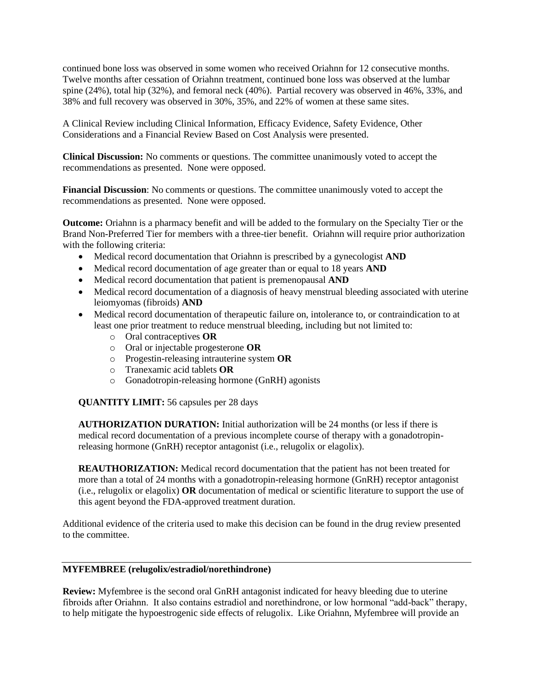continued bone loss was observed in some women who received Oriahnn for 12 consecutive months. Twelve months after cessation of Oriahnn treatment, continued bone loss was observed at the lumbar spine (24%), total hip (32%), and femoral neck (40%). Partial recovery was observed in 46%, 33%, and 38% and full recovery was observed in 30%, 35%, and 22% of women at these same sites.

A Clinical Review including Clinical Information, Efficacy Evidence, Safety Evidence, Other Considerations and a Financial Review Based on Cost Analysis were presented.

**Clinical Discussion:** No comments or questions. The committee unanimously voted to accept the recommendations as presented. None were opposed.

**Financial Discussion**: No comments or questions. The committee unanimously voted to accept the recommendations as presented. None were opposed.

**Outcome:** Oriahnn is a pharmacy benefit and will be added to the formulary on the Specialty Tier or the Brand Non-Preferred Tier for members with a three-tier benefit. Oriahnn will require prior authorization with the following criteria:

- Medical record documentation that Oriahnn is prescribed by a gynecologist **AND**
- Medical record documentation of age greater than or equal to 18 years **AND**
- Medical record documentation that patient is premenopausal **AND**
- Medical record documentation of a diagnosis of heavy menstrual bleeding associated with uterine leiomyomas (fibroids) **AND**
- Medical record documentation of therapeutic failure on, intolerance to, or contraindication to at least one prior treatment to reduce menstrual bleeding, including but not limited to:
	- o Oral contraceptives **OR**
	- o Oral or injectable progesterone **OR**
	- o Progestin-releasing intrauterine system **OR**
	- o Tranexamic acid tablets **OR**
	- o Gonadotropin-releasing hormone (GnRH) agonists

**QUANTITY LIMIT:** 56 capsules per 28 days

**AUTHORIZATION DURATION:** Initial authorization will be 24 months (or less if there is medical record documentation of a previous incomplete course of therapy with a gonadotropinreleasing hormone (GnRH) receptor antagonist (i.e., relugolix or elagolix).

**REAUTHORIZATION:** Medical record documentation that the patient has not been treated for more than a total of 24 months with a gonadotropin-releasing hormone (GnRH) receptor antagonist (i.e., relugolix or elagolix) **OR** documentation of medical or scientific literature to support the use of this agent beyond the FDA-approved treatment duration.

Additional evidence of the criteria used to make this decision can be found in the drug review presented to the committee.

#### **MYFEMBREE (relugolix/estradiol/norethindrone)**

**Review:** Myfembree is the second oral GnRH antagonist indicated for heavy bleeding due to uterine fibroids after Oriahnn. It also contains estradiol and norethindrone, or low hormonal "add-back" therapy, to help mitigate the hypoestrogenic side effects of relugolix. Like Oriahnn, Myfembree will provide an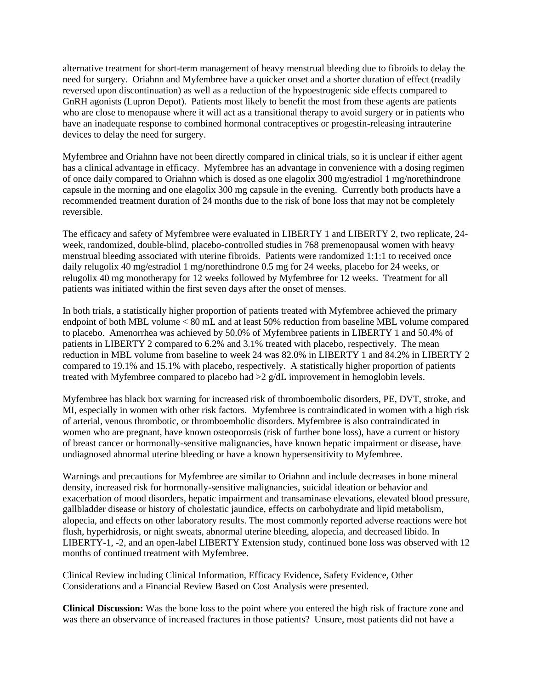alternative treatment for short-term management of heavy menstrual bleeding due to fibroids to delay the need for surgery. Oriahnn and Myfembree have a quicker onset and a shorter duration of effect (readily reversed upon discontinuation) as well as a reduction of the hypoestrogenic side effects compared to GnRH agonists (Lupron Depot). Patients most likely to benefit the most from these agents are patients who are close to menopause where it will act as a transitional therapy to avoid surgery or in patients who have an inadequate response to combined hormonal contraceptives or progestin-releasing intrauterine devices to delay the need for surgery.

Myfembree and Oriahnn have not been directly compared in clinical trials, so it is unclear if either agent has a clinical advantage in efficacy. Myfembree has an advantage in convenience with a dosing regimen of once daily compared to Oriahnn which is dosed as one elagolix 300 mg/estradiol 1 mg/norethindrone capsule in the morning and one elagolix 300 mg capsule in the evening. Currently both products have a recommended treatment duration of 24 months due to the risk of bone loss that may not be completely reversible.

The efficacy and safety of Myfembree were evaluated in LIBERTY 1 and LIBERTY 2, two replicate, 24 week, randomized, double-blind, placebo-controlled studies in 768 premenopausal women with heavy menstrual bleeding associated with uterine fibroids. Patients were randomized 1:1:1 to received once daily relugolix 40 mg/estradiol 1 mg/norethindrone 0.5 mg for 24 weeks, placebo for 24 weeks, or relugolix 40 mg monotherapy for 12 weeks followed by Myfembree for 12 weeks. Treatment for all patients was initiated within the first seven days after the onset of menses.

In both trials, a statistically higher proportion of patients treated with Myfembree achieved the primary endpoint of both MBL volume < 80 mL and at least 50% reduction from baseline MBL volume compared to placebo. Amenorrhea was achieved by 50.0% of Myfembree patients in LIBERTY 1 and 50.4% of patients in LIBERTY 2 compared to 6.2% and 3.1% treated with placebo, respectively. The mean reduction in MBL volume from baseline to week 24 was 82.0% in LIBERTY 1 and 84.2% in LIBERTY 2 compared to 19.1% and 15.1% with placebo, respectively. A statistically higher proportion of patients treated with Myfembree compared to placebo had >2 g/dL improvement in hemoglobin levels.

Myfembree has black box warning for increased risk of thromboembolic disorders, PE, DVT, stroke, and MI, especially in women with other risk factors. Myfembree is contraindicated in women with a high risk of arterial, venous thrombotic, or thromboembolic disorders. Myfembree is also contraindicated in women who are pregnant, have known osteoporosis (risk of further bone loss), have a current or history of breast cancer or hormonally-sensitive malignancies, have known hepatic impairment or disease, have undiagnosed abnormal uterine bleeding or have a known hypersensitivity to Myfembree.

Warnings and precautions for Myfembree are similar to Oriahnn and include decreases in bone mineral density, increased risk for hormonally-sensitive malignancies, suicidal ideation or behavior and exacerbation of mood disorders, hepatic impairment and transaminase elevations, elevated blood pressure, gallbladder disease or history of cholestatic jaundice, effects on carbohydrate and lipid metabolism, alopecia, and effects on other laboratory results. The most commonly reported adverse reactions were hot flush, hyperhidrosis, or night sweats, abnormal uterine bleeding, alopecia, and decreased libido. In LIBERTY-1, -2, and an open-label LIBERTY Extension study, continued bone loss was observed with 12 months of continued treatment with Myfembree.

Clinical Review including Clinical Information, Efficacy Evidence, Safety Evidence, Other Considerations and a Financial Review Based on Cost Analysis were presented.

**Clinical Discussion:** Was the bone loss to the point where you entered the high risk of fracture zone and was there an observance of increased fractures in those patients? Unsure, most patients did not have a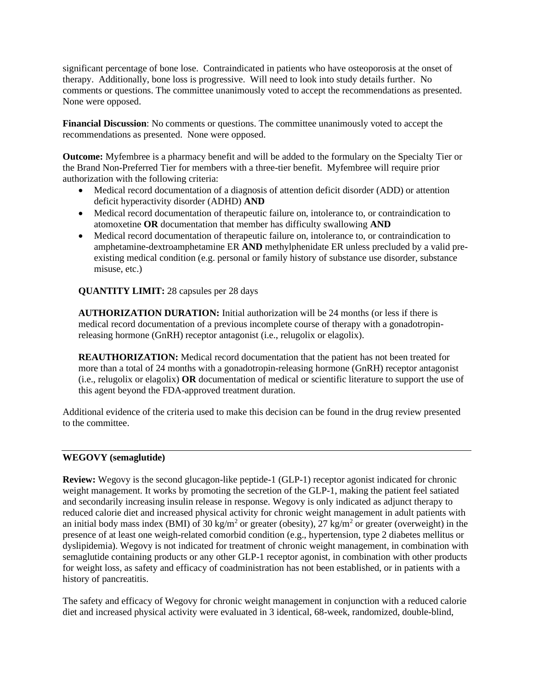significant percentage of bone lose. Contraindicated in patients who have osteoporosis at the onset of therapy. Additionally, bone loss is progressive. Will need to look into study details further. No comments or questions. The committee unanimously voted to accept the recommendations as presented. None were opposed.

**Financial Discussion**: No comments or questions. The committee unanimously voted to accept the recommendations as presented. None were opposed.

**Outcome:** Myfembree is a pharmacy benefit and will be added to the formulary on the Specialty Tier or the Brand Non-Preferred Tier for members with a three-tier benefit. Myfembree will require prior authorization with the following criteria:

- Medical record documentation of a diagnosis of attention deficit disorder (ADD) or attention deficit hyperactivity disorder (ADHD) **AND**
- Medical record documentation of therapeutic failure on, intolerance to, or contraindication to atomoxetine **OR** documentation that member has difficulty swallowing **AND**
- Medical record documentation of therapeutic failure on, intolerance to, or contraindication to amphetamine-dextroamphetamine ER **AND** methylphenidate ER unless precluded by a valid preexisting medical condition (e.g. personal or family history of substance use disorder, substance misuse, etc.)

**QUANTITY LIMIT:** 28 capsules per 28 days

**AUTHORIZATION DURATION:** Initial authorization will be 24 months (or less if there is medical record documentation of a previous incomplete course of therapy with a gonadotropinreleasing hormone (GnRH) receptor antagonist (i.e., relugolix or elagolix).

**REAUTHORIZATION:** Medical record documentation that the patient has not been treated for more than a total of 24 months with a gonadotropin-releasing hormone (GnRH) receptor antagonist (i.e., relugolix or elagolix) **OR** documentation of medical or scientific literature to support the use of this agent beyond the FDA-approved treatment duration.

Additional evidence of the criteria used to make this decision can be found in the drug review presented to the committee.

## **WEGOVY (semaglutide)**

**Review:** Wegovy is the second glucagon-like peptide-1 (GLP-1) receptor agonist indicated for chronic weight management. It works by promoting the secretion of the GLP-1, making the patient feel satiated and secondarily increasing insulin release in response. Wegovy is only indicated as adjunct therapy to reduced calorie diet and increased physical activity for chronic weight management in adult patients with an initial body mass index (BMI) of 30 kg/m<sup>2</sup> or greater (obesity),  $27 \text{ kg/m}^2$  or greater (overweight) in the presence of at least one weigh-related comorbid condition (e.g., hypertension, type 2 diabetes mellitus or dyslipidemia). Wegovy is not indicated for treatment of chronic weight management, in combination with semaglutide containing products or any other GLP-1 receptor agonist, in combination with other products for weight loss, as safety and efficacy of coadministration has not been established, or in patients with a history of pancreatitis.

The safety and efficacy of Wegovy for chronic weight management in conjunction with a reduced calorie diet and increased physical activity were evaluated in 3 identical, 68-week, randomized, double-blind,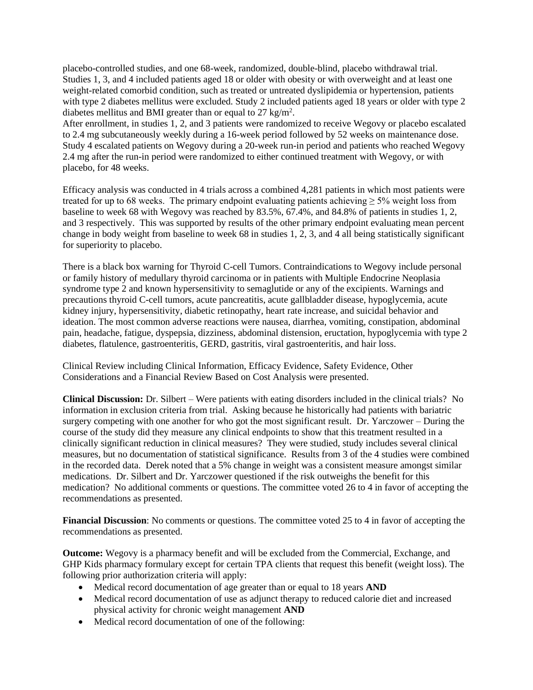placebo-controlled studies, and one 68-week, randomized, double-blind, placebo withdrawal trial. Studies 1, 3, and 4 included patients aged 18 or older with obesity or with overweight and at least one weight-related comorbid condition, such as treated or untreated dyslipidemia or hypertension, patients with type 2 diabetes mellitus were excluded. Study 2 included patients aged 18 years or older with type 2 diabetes mellitus and BMI greater than or equal to  $27 \text{ kg/m}^2$ .

After enrollment, in studies 1, 2, and 3 patients were randomized to receive Wegovy or placebo escalated to 2.4 mg subcutaneously weekly during a 16-week period followed by 52 weeks on maintenance dose. Study 4 escalated patients on Wegovy during a 20-week run-in period and patients who reached Wegovy 2.4 mg after the run-in period were randomized to either continued treatment with Wegovy, or with placebo, for 48 weeks.

Efficacy analysis was conducted in 4 trials across a combined 4,281 patients in which most patients were treated for up to 68 weeks. The primary endpoint evaluating patients achieving  $\geq$  5% weight loss from baseline to week 68 with Wegovy was reached by 83.5%, 67.4%, and 84.8% of patients in studies 1, 2, and 3 respectively. This was supported by results of the other primary endpoint evaluating mean percent change in body weight from baseline to week 68 in studies 1, 2, 3, and 4 all being statistically significant for superiority to placebo.

There is a black box warning for Thyroid C-cell Tumors. Contraindications to Wegovy include personal or family history of medullary thyroid carcinoma or in patients with Multiple Endocrine Neoplasia syndrome type 2 and known hypersensitivity to semaglutide or any of the excipients. Warnings and precautions thyroid C-cell tumors, acute pancreatitis, acute gallbladder disease, hypoglycemia, acute kidney injury, hypersensitivity, diabetic retinopathy, heart rate increase, and suicidal behavior and ideation. The most common adverse reactions were nausea, diarrhea, vomiting, constipation, abdominal pain, headache, fatigue, dyspepsia, dizziness, abdominal distension, eructation, hypoglycemia with type 2 diabetes, flatulence, gastroenteritis, GERD, gastritis, viral gastroenteritis, and hair loss.

Clinical Review including Clinical Information, Efficacy Evidence, Safety Evidence, Other Considerations and a Financial Review Based on Cost Analysis were presented.

**Clinical Discussion:** Dr. Silbert – Were patients with eating disorders included in the clinical trials? No information in exclusion criteria from trial. Asking because he historically had patients with bariatric surgery competing with one another for who got the most significant result. Dr. Yarczower – During the course of the study did they measure any clinical endpoints to show that this treatment resulted in a clinically significant reduction in clinical measures? They were studied, study includes several clinical measures, but no documentation of statistical significance. Results from 3 of the 4 studies were combined in the recorded data. Derek noted that a 5% change in weight was a consistent measure amongst similar medications. Dr. Silbert and Dr. Yarczower questioned if the risk outweighs the benefit for this medication? No additional comments or questions. The committee voted 26 to 4 in favor of accepting the recommendations as presented.

**Financial Discussion**: No comments or questions. The committee voted 25 to 4 in favor of accepting the recommendations as presented.

**Outcome:** Wegovy is a pharmacy benefit and will be excluded from the Commercial, Exchange, and GHP Kids pharmacy formulary except for certain TPA clients that request this benefit (weight loss). The following prior authorization criteria will apply:

- Medical record documentation of age greater than or equal to 18 years **AND**
- Medical record documentation of use as adjunct therapy to reduced calorie diet and increased physical activity for chronic weight management **AND**
- Medical record documentation of one of the following: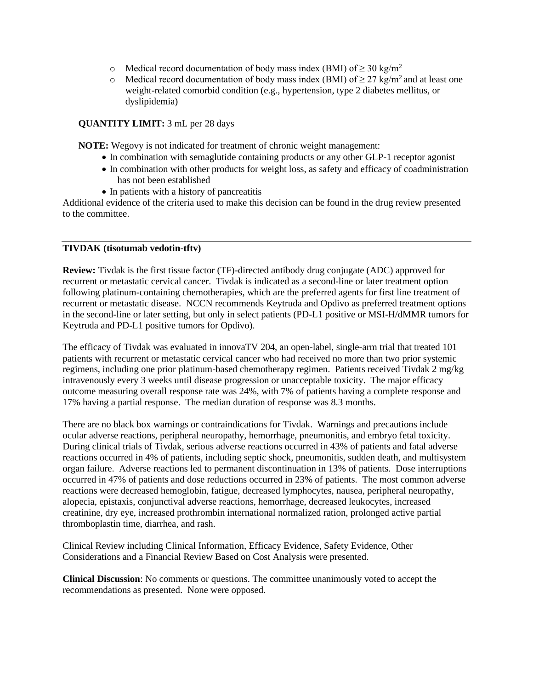- o Medical record documentation of body mass index (BMI) of  $\geq$  30 kg/m<sup>2</sup>
- o Medical record documentation of body mass index (BMI) of  $\geq$  27 kg/m<sup>2</sup> and at least one weight-related comorbid condition (e.g., hypertension, type 2 diabetes mellitus, or dyslipidemia)

## **QUANTITY LIMIT:** 3 mL per 28 days

**NOTE:** Wegovy is not indicated for treatment of chronic weight management:

- In combination with semaglutide containing products or any other GLP-1 receptor agonist
- In combination with other products for weight loss, as safety and efficacy of coadministration has not been established
- In patients with a history of pancreatitis

Additional evidence of the criteria used to make this decision can be found in the drug review presented to the committee.

#### **TIVDAK (tisotumab vedotin-tftv)**

**Review:** Tivdak is the first tissue factor (TF)-directed antibody drug conjugate (ADC) approved for recurrent or metastatic cervical cancer. Tivdak is indicated as a second-line or later treatment option following platinum-containing chemotherapies, which are the preferred agents for first line treatment of recurrent or metastatic disease. NCCN recommends Keytruda and Opdivo as preferred treatment options in the second-line or later setting, but only in select patients (PD-L1 positive or MSI-H/dMMR tumors for Keytruda and PD-L1 positive tumors for Opdivo).

The efficacy of Tivdak was evaluated in innovaTV 204, an open-label, single-arm trial that treated 101 patients with recurrent or metastatic cervical cancer who had received no more than two prior systemic regimens, including one prior platinum-based chemotherapy regimen. Patients received Tivdak 2 mg/kg intravenously every 3 weeks until disease progression or unacceptable toxicity. The major efficacy outcome measuring overall response rate was 24%, with 7% of patients having a complete response and 17% having a partial response. The median duration of response was 8.3 months.

There are no black box warnings or contraindications for Tivdak. Warnings and precautions include ocular adverse reactions, peripheral neuropathy, hemorrhage, pneumonitis, and embryo fetal toxicity. During clinical trials of Tivdak, serious adverse reactions occurred in 43% of patients and fatal adverse reactions occurred in 4% of patients, including septic shock, pneumonitis, sudden death, and multisystem organ failure. Adverse reactions led to permanent discontinuation in 13% of patients. Dose interruptions occurred in 47% of patients and dose reductions occurred in 23% of patients. The most common adverse reactions were decreased hemoglobin, fatigue, decreased lymphocytes, nausea, peripheral neuropathy, alopecia, epistaxis, conjunctival adverse reactions, hemorrhage, decreased leukocytes, increased creatinine, dry eye, increased prothrombin international normalized ration, prolonged active partial thromboplastin time, diarrhea, and rash.

Clinical Review including Clinical Information, Efficacy Evidence, Safety Evidence, Other Considerations and a Financial Review Based on Cost Analysis were presented.

**Clinical Discussion**: No comments or questions. The committee unanimously voted to accept the recommendations as presented. None were opposed.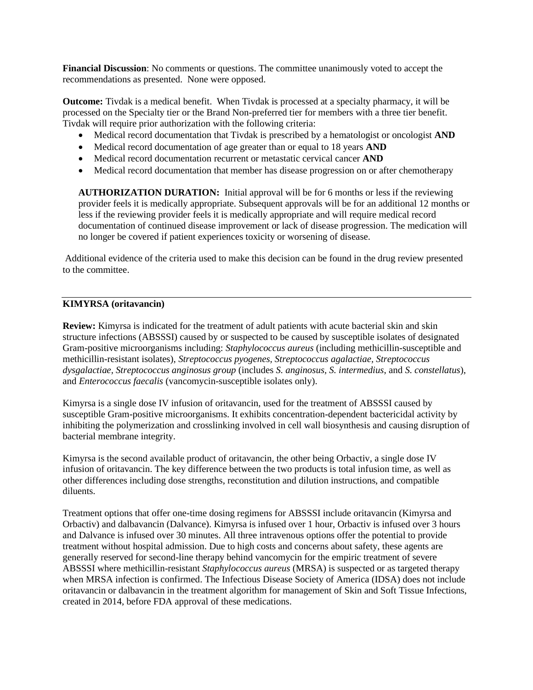**Financial Discussion**: No comments or questions. The committee unanimously voted to accept the recommendations as presented. None were opposed.

**Outcome:** Tivdak is a medical benefit. When Tivdak is processed at a specialty pharmacy, it will be processed on the Specialty tier or the Brand Non-preferred tier for members with a three tier benefit. Tivdak will require prior authorization with the following criteria:

- Medical record documentation that Tivdak is prescribed by a hematologist or oncologist **AND**
- Medical record documentation of age greater than or equal to 18 years **AND**
- Medical record documentation recurrent or metastatic cervical cancer **AND**
- Medical record documentation that member has disease progression on or after chemotherapy

**AUTHORIZATION DURATION:** Initial approval will be for 6 months or less if the reviewing provider feels it is medically appropriate. Subsequent approvals will be for an additional 12 months or less if the reviewing provider feels it is medically appropriate and will require medical record documentation of continued disease improvement or lack of disease progression. The medication will no longer be covered if patient experiences toxicity or worsening of disease.

Additional evidence of the criteria used to make this decision can be found in the drug review presented to the committee.

#### **KIMYRSA (oritavancin)**

**Review:** Kimyrsa is indicated for the treatment of adult patients with acute bacterial skin and skin structure infections (ABSSSI) caused by or suspected to be caused by susceptible isolates of designated Gram-positive microorganisms including: *Staphylococcus aureus* (including methicillin-susceptible and methicillin-resistant isolates), *Streptococcus pyogenes, Streptococcus agalactiae, Streptococcus dysgalactiae, Streptococcus anginosus group* (includes *S. anginosus, S. intermedius*, and *S. constellatus*), and *Enterococcus faecalis* (vancomycin-susceptible isolates only).

Kimyrsa is a single dose IV infusion of oritavancin, used for the treatment of ABSSSI caused by susceptible Gram-positive microorganisms. It exhibits concentration-dependent bactericidal activity by inhibiting the polymerization and crosslinking involved in cell wall biosynthesis and causing disruption of bacterial membrane integrity.

Kimyrsa is the second available product of oritavancin, the other being Orbactiv, a single dose IV infusion of oritavancin. The key difference between the two products is total infusion time, as well as other differences including dose strengths, reconstitution and dilution instructions, and compatible diluents.

Treatment options that offer one-time dosing regimens for ABSSSI include oritavancin (Kimyrsa and Orbactiv) and dalbavancin (Dalvance). Kimyrsa is infused over 1 hour, Orbactiv is infused over 3 hours and Dalvance is infused over 30 minutes. All three intravenous options offer the potential to provide treatment without hospital admission. Due to high costs and concerns about safety, these agents are generally reserved for second-line therapy behind vancomycin for the empiric treatment of severe ABSSSI where methicillin-resistant *Staphylococcus aureus* (MRSA) is suspected or as targeted therapy when MRSA infection is confirmed. The Infectious Disease Society of America (IDSA) does not include oritavancin or dalbavancin in the treatment algorithm for management of Skin and Soft Tissue Infections, created in 2014, before FDA approval of these medications.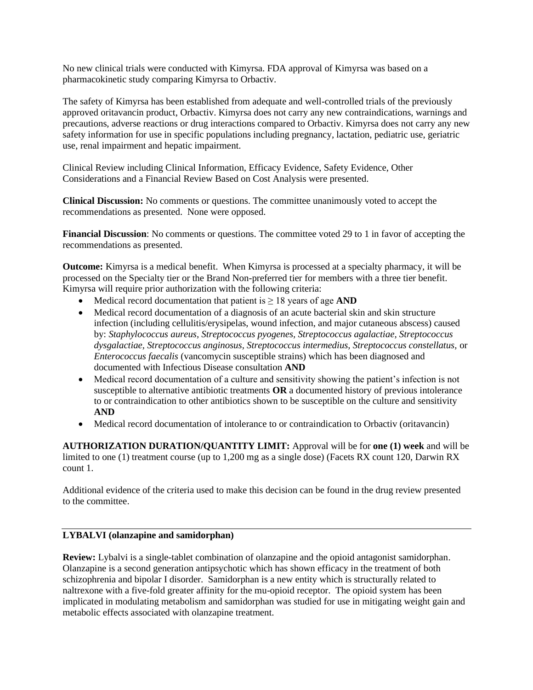No new clinical trials were conducted with Kimyrsa. FDA approval of Kimyrsa was based on a pharmacokinetic study comparing Kimyrsa to Orbactiv.

The safety of Kimyrsa has been established from adequate and well-controlled trials of the previously approved oritavancin product, Orbactiv. Kimyrsa does not carry any new contraindications, warnings and precautions, adverse reactions or drug interactions compared to Orbactiv. Kimyrsa does not carry any new safety information for use in specific populations including pregnancy, lactation, pediatric use, geriatric use, renal impairment and hepatic impairment.

Clinical Review including Clinical Information, Efficacy Evidence, Safety Evidence, Other Considerations and a Financial Review Based on Cost Analysis were presented.

**Clinical Discussion:** No comments or questions. The committee unanimously voted to accept the recommendations as presented. None were opposed.

**Financial Discussion**: No comments or questions. The committee voted 29 to 1 in favor of accepting the recommendations as presented.

**Outcome:** Kimyrsa is a medical benefit. When Kimyrsa is processed at a specialty pharmacy, it will be processed on the Specialty tier or the Brand Non-preferred tier for members with a three tier benefit. Kimyrsa will require prior authorization with the following criteria:

- Medical record documentation that patient is ≥ 18 years of age **AND**
- Medical record documentation of a diagnosis of an acute bacterial skin and skin structure infection (including cellulitis/erysipelas, wound infection, and major cutaneous abscess) caused by: *Staphylococcus aureus, Streptococcus pyogenes, Streptococcus agalactiae, Streptococcus dysgalactiae, Streptococcus anginosus, Streptococcus intermedius, Streptococcus constellatus,* or *Enterococcus faecalis* (vancomycin susceptible strains) which has been diagnosed and documented with Infectious Disease consultation **AND**
- Medical record documentation of a culture and sensitivity showing the patient's infection is not susceptible to alternative antibiotic treatments **OR** a documented history of previous intolerance to or contraindication to other antibiotics shown to be susceptible on the culture and sensitivity **AND**
- Medical record documentation of intolerance to or contraindication to Orbactiv (oritavancin)

**AUTHORIZATION DURATION/QUANTITY LIMIT:** Approval will be for **one (1) week** and will be limited to one (1) treatment course (up to 1,200 mg as a single dose) (Facets RX count 120, Darwin RX count 1.

Additional evidence of the criteria used to make this decision can be found in the drug review presented to the committee.

# **LYBALVI (olanzapine and samidorphan)**

**Review:** Lybalvi is a single-tablet combination of olanzapine and the opioid antagonist samidorphan. Olanzapine is a second generation antipsychotic which has shown efficacy in the treatment of both schizophrenia and bipolar I disorder. Samidorphan is a new entity which is structurally related to naltrexone with a five-fold greater affinity for the mu-opioid receptor. The opioid system has been implicated in modulating metabolism and samidorphan was studied for use in mitigating weight gain and metabolic effects associated with olanzapine treatment.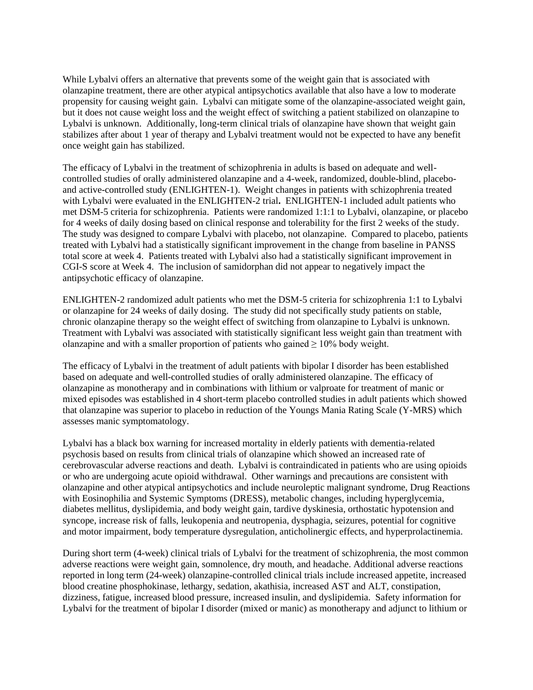While Lybalvi offers an alternative that prevents some of the weight gain that is associated with olanzapine treatment, there are other atypical antipsychotics available that also have a low to moderate propensity for causing weight gain. Lybalvi can mitigate some of the olanzapine-associated weight gain, but it does not cause weight loss and the weight effect of switching a patient stabilized on olanzapine to Lybalvi is unknown. Additionally, long-term clinical trials of olanzapine have shown that weight gain stabilizes after about 1 year of therapy and Lybalvi treatment would not be expected to have any benefit once weight gain has stabilized.

The efficacy of Lybalvi in the treatment of schizophrenia in adults is based on adequate and wellcontrolled studies of orally administered olanzapine and a 4-week, randomized, double-blind, placeboand active-controlled study (ENLIGHTEN-1). Weight changes in patients with schizophrenia treated with Lybalvi were evaluated in the ENLIGHTEN-2 trial**.** ENLIGHTEN-1 included adult patients who met DSM-5 criteria for schizophrenia. Patients were randomized 1:1:1 to Lybalvi, olanzapine, or placebo for 4 weeks of daily dosing based on clinical response and tolerability for the first 2 weeks of the study. The study was designed to compare Lybalvi with placebo, not olanzapine. Compared to placebo, patients treated with Lybalvi had a statistically significant improvement in the change from baseline in PANSS total score at week 4. Patients treated with Lybalvi also had a statistically significant improvement in CGI-S score at Week 4. The inclusion of samidorphan did not appear to negatively impact the antipsychotic efficacy of olanzapine.

ENLIGHTEN-2 randomized adult patients who met the DSM-5 criteria for schizophrenia 1:1 to Lybalvi or olanzapine for 24 weeks of daily dosing. The study did not specifically study patients on stable, chronic olanzapine therapy so the weight effect of switching from olanzapine to Lybalvi is unknown. Treatment with Lybalvi was associated with statistically significant less weight gain than treatment with olanzapine and with a smaller proportion of patients who gained  $\geq 10\%$  body weight.

The efficacy of Lybalvi in the treatment of adult patients with bipolar I disorder has been established based on adequate and well-controlled studies of orally administered olanzapine. The efficacy of olanzapine as monotherapy and in combinations with lithium or valproate for treatment of manic or mixed episodes was established in 4 short-term placebo controlled studies in adult patients which showed that olanzapine was superior to placebo in reduction of the Youngs Mania Rating Scale (Y-MRS) which assesses manic symptomatology.

Lybalvi has a black box warning for increased mortality in elderly patients with dementia-related psychosis based on results from clinical trials of olanzapine which showed an increased rate of cerebrovascular adverse reactions and death. Lybalvi is contraindicated in patients who are using opioids or who are undergoing acute opioid withdrawal. Other warnings and precautions are consistent with olanzapine and other atypical antipsychotics and include neuroleptic malignant syndrome, Drug Reactions with Eosinophilia and Systemic Symptoms (DRESS), metabolic changes, including hyperglycemia, diabetes mellitus, dyslipidemia, and body weight gain, tardive dyskinesia, orthostatic hypotension and syncope, increase risk of falls, leukopenia and neutropenia, dysphagia, seizures, potential for cognitive and motor impairment, body temperature dysregulation, anticholinergic effects, and hyperprolactinemia.

During short term (4-week) clinical trials of Lybalvi for the treatment of schizophrenia, the most common adverse reactions were weight gain, somnolence, dry mouth, and headache. Additional adverse reactions reported in long term (24-week) olanzapine-controlled clinical trials include increased appetite, increased blood creatine phosphokinase, lethargy, sedation, akathisia, increased AST and ALT, constipation, dizziness, fatigue, increased blood pressure, increased insulin, and dyslipidemia. Safety information for Lybalvi for the treatment of bipolar I disorder (mixed or manic) as monotherapy and adjunct to lithium or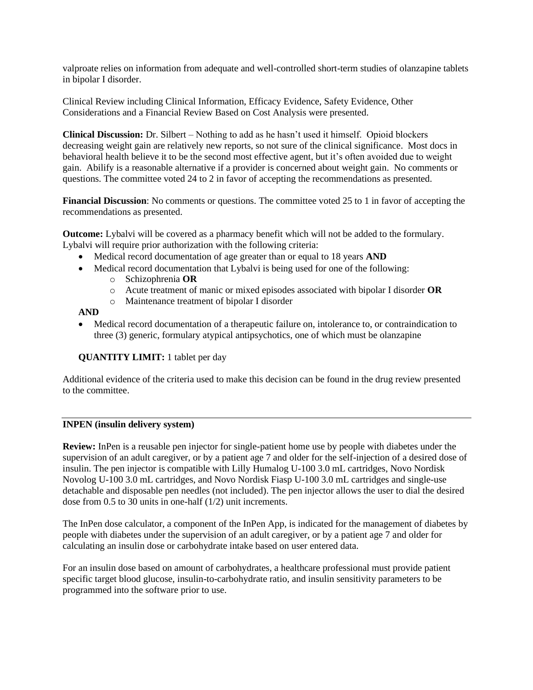valproate relies on information from adequate and well-controlled short-term studies of olanzapine tablets in bipolar I disorder.

Clinical Review including Clinical Information, Efficacy Evidence, Safety Evidence, Other Considerations and a Financial Review Based on Cost Analysis were presented.

**Clinical Discussion:** Dr. Silbert – Nothing to add as he hasn't used it himself. Opioid blockers decreasing weight gain are relatively new reports, so not sure of the clinical significance. Most docs in behavioral health believe it to be the second most effective agent, but it's often avoided due to weight gain. Abilify is a reasonable alternative if a provider is concerned about weight gain. No comments or questions. The committee voted 24 to 2 in favor of accepting the recommendations as presented.

**Financial Discussion**: No comments or questions. The committee voted 25 to 1 in favor of accepting the recommendations as presented.

**Outcome:** Lybalvi will be covered as a pharmacy benefit which will not be added to the formulary. Lybalvi will require prior authorization with the following criteria:

- Medical record documentation of age greater than or equal to 18 years **AND**
- Medical record documentation that Lybalvi is being used for one of the following:
	- o Schizophrenia **OR**
	- o Acute treatment of manic or mixed episodes associated with bipolar I disorder **OR**
	- o Maintenance treatment of bipolar I disorder

**AND** 

• Medical record documentation of a therapeutic failure on, intolerance to, or contraindication to three (3) generic, formulary atypical antipsychotics, one of which must be olanzapine

**QUANTITY LIMIT:** 1 tablet per day

Additional evidence of the criteria used to make this decision can be found in the drug review presented to the committee.

## **INPEN (insulin delivery system)**

**Review:** InPen is a reusable pen injector for single-patient home use by people with diabetes under the supervision of an adult caregiver, or by a patient age 7 and older for the self-injection of a desired dose of insulin. The pen injector is compatible with Lilly Humalog U-100 3.0 mL cartridges, Novo Nordisk Novolog U-100 3.0 mL cartridges, and Novo Nordisk Fiasp U-100 3.0 mL cartridges and single-use detachable and disposable pen needles (not included). The pen injector allows the user to dial the desired dose from 0.5 to 30 units in one-half (1/2) unit increments.

The InPen dose calculator, a component of the InPen App, is indicated for the management of diabetes by people with diabetes under the supervision of an adult caregiver, or by a patient age 7 and older for calculating an insulin dose or carbohydrate intake based on user entered data.

For an insulin dose based on amount of carbohydrates, a healthcare professional must provide patient specific target blood glucose, insulin-to-carbohydrate ratio, and insulin sensitivity parameters to be programmed into the software prior to use.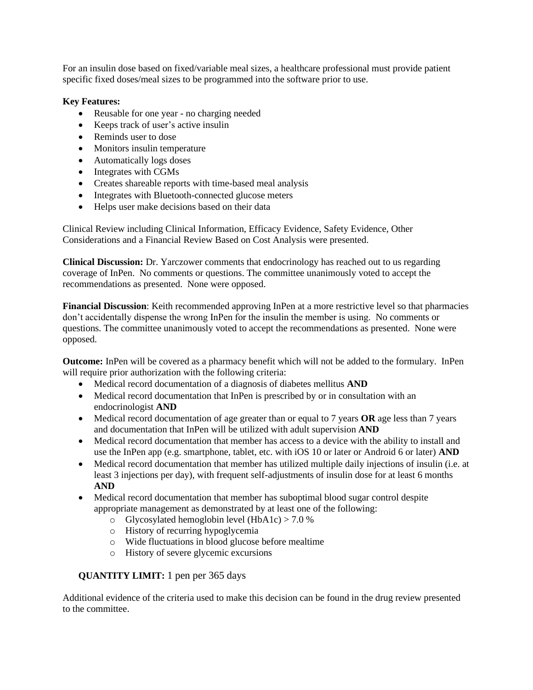For an insulin dose based on fixed/variable meal sizes, a healthcare professional must provide patient specific fixed doses/meal sizes to be programmed into the software prior to use.

# **Key Features:**

- Reusable for one year no charging needed
- Keeps track of user's active insulin
- Reminds user to dose
- Monitors insulin temperature
- Automatically logs doses
- Integrates with CGMs
- Creates shareable reports with time-based meal analysis
- Integrates with Bluetooth-connected glucose meters
- Helps user make decisions based on their data

Clinical Review including Clinical Information, Efficacy Evidence, Safety Evidence, Other Considerations and a Financial Review Based on Cost Analysis were presented.

**Clinical Discussion:** Dr. Yarczower comments that endocrinology has reached out to us regarding coverage of InPen. No comments or questions. The committee unanimously voted to accept the recommendations as presented. None were opposed.

**Financial Discussion**: Keith recommended approving InPen at a more restrictive level so that pharmacies don't accidentally dispense the wrong InPen for the insulin the member is using. No comments or questions. The committee unanimously voted to accept the recommendations as presented. None were opposed.

**Outcome:** InPen will be covered as a pharmacy benefit which will not be added to the formulary. InPen will require prior authorization with the following criteria:

- Medical record documentation of a diagnosis of diabetes mellitus **AND**
- Medical record documentation that InPen is prescribed by or in consultation with an endocrinologist **AND**
- Medical record documentation of age greater than or equal to 7 years **OR** age less than 7 years and documentation that InPen will be utilized with adult supervision **AND**
- Medical record documentation that member has access to a device with the ability to install and use the InPen app (e.g. smartphone, tablet, etc. with iOS 10 or later or Android 6 or later) **AND**
- Medical record documentation that member has utilized multiple daily injections of insulin (i.e. at least 3 injections per day), with frequent self-adjustments of insulin dose for at least 6 months **AND**
- Medical record documentation that member has suboptimal blood sugar control despite appropriate management as demonstrated by at least one of the following:
	- o Glycosylated hemoglobin level  $(HbA1c) > 7.0$  %
	- o History of recurring hypoglycemia
	- o Wide fluctuations in blood glucose before mealtime
	- o History of severe glycemic excursions

# **QUANTITY LIMIT:** 1 pen per 365 days

Additional evidence of the criteria used to make this decision can be found in the drug review presented to the committee.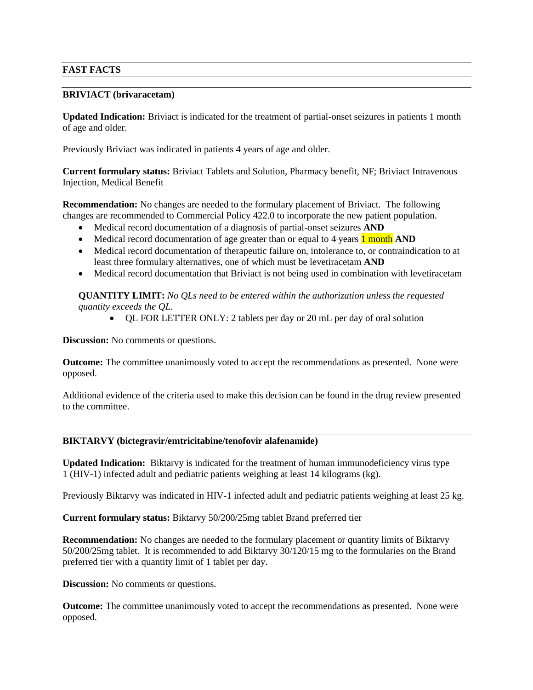# **FAST FACTS**

#### **BRIVIACT (brivaracetam)**

**Updated Indication:** Briviact is indicated for the treatment of partial-onset seizures in patients 1 month of age and older.

Previously Briviact was indicated in patients 4 years of age and older.

**Current formulary status:** Briviact Tablets and Solution, Pharmacy benefit, NF; Briviact Intravenous Injection, Medical Benefit

**Recommendation:** No changes are needed to the formulary placement of Briviact. The following changes are recommended to Commercial Policy 422.0 to incorporate the new patient population.

- Medical record documentation of a diagnosis of partial-onset seizures **AND**
- Medical record documentation of age greater than or equal to 4 years **1 month AND**
- Medical record documentation of therapeutic failure on, intolerance to, or contraindication to at least three formulary alternatives, one of which must be levetiracetam **AND**
- Medical record documentation that Briviact is not being used in combination with levetiracetam

**QUANTITY LIMIT:** *No QLs need to be entered within the authorization unless the requested quantity exceeds the QL.*

• QL FOR LETTER ONLY: 2 tablets per day or 20 mL per day of oral solution

**Discussion:** No comments or questions.

**Outcome:** The committee unanimously voted to accept the recommendations as presented. None were opposed.

Additional evidence of the criteria used to make this decision can be found in the drug review presented to the committee.

# **BIKTARVY (bictegravir/emtricitabine/tenofovir alafenamide)**

**Updated Indication:** Biktarvy is indicated for the treatment of human immunodeficiency virus type 1 (HIV-1) infected adult and pediatric patients weighing at least 14 kilograms (kg).

Previously Biktarvy was indicated in HIV-1 infected adult and pediatric patients weighing at least 25 kg.

**Current formulary status:** Biktarvy 50/200/25mg tablet Brand preferred tier

**Recommendation:** No changes are needed to the formulary placement or quantity limits of Biktarvy 50/200/25mg tablet. It is recommended to add Biktarvy 30/120/15 mg to the formularies on the Brand preferred tier with a quantity limit of 1 tablet per day.

**Discussion:** No comments or questions.

**Outcome:** The committee unanimously voted to accept the recommendations as presented. None were opposed.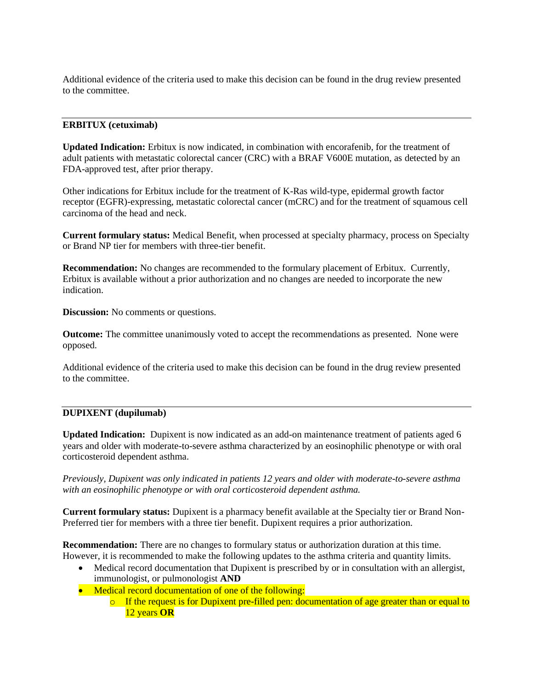Additional evidence of the criteria used to make this decision can be found in the drug review presented to the committee.

## **ERBITUX (cetuximab)**

**Updated Indication:** Erbitux is now indicated, in combination with encorafenib, for the treatment of adult patients with metastatic colorectal cancer (CRC) with a BRAF V600E mutation, as detected by an FDA-approved test, after prior therapy.

Other indications for Erbitux include for the treatment of K-Ras wild-type, epidermal growth factor receptor (EGFR)-expressing, metastatic colorectal cancer (mCRC) and for the treatment of squamous cell carcinoma of the head and neck.

**Current formulary status:** Medical Benefit, when processed at specialty pharmacy, process on Specialty or Brand NP tier for members with three-tier benefit.

**Recommendation:** No changes are recommended to the formulary placement of Erbitux. Currently, Erbitux is available without a prior authorization and no changes are needed to incorporate the new indication.

**Discussion:** No comments or questions.

**Outcome:** The committee unanimously voted to accept the recommendations as presented. None were opposed.

Additional evidence of the criteria used to make this decision can be found in the drug review presented to the committee.

#### **DUPIXENT (dupilumab)**

**Updated Indication:** Dupixent is now indicated as an add-on maintenance treatment of patients aged 6 years and older with moderate-to-severe asthma characterized by an eosinophilic phenotype or with oral corticosteroid dependent asthma.

*Previously, Dupixent was only indicated in patients 12 years and older with moderate-to-severe asthma with an eosinophilic phenotype or with oral corticosteroid dependent asthma.* 

**Current formulary status:** Dupixent is a pharmacy benefit available at the Specialty tier or Brand Non-Preferred tier for members with a three tier benefit. Dupixent requires a prior authorization.

**Recommendation:** There are no changes to formulary status or authorization duration at this time. However, it is recommended to make the following updates to the asthma criteria and quantity limits.

- Medical record documentation that Dupixent is prescribed by or in consultation with an allergist, immunologist, or pulmonologist **AND**
- Medical record documentation of one of the following:
	- o If the request is for Dupixent pre-filled pen: documentation of age greater than or equal to 12 years **OR**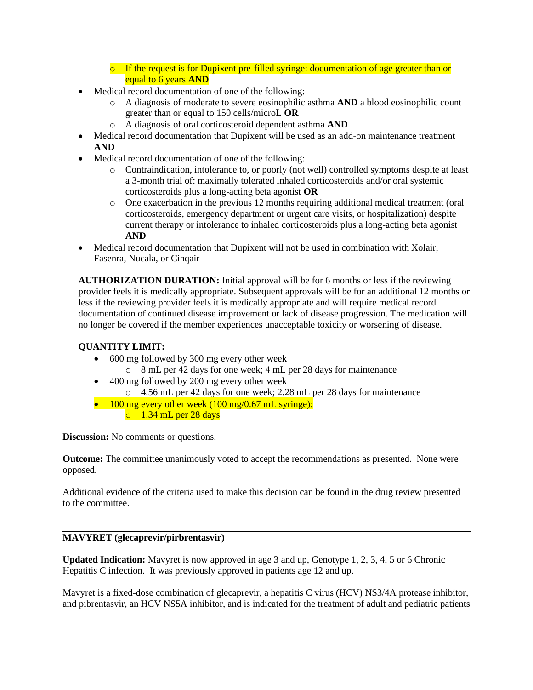- $\circ$  If the request is for Dupixent pre-filled syringe: documentation of age greater than or equal to 6 years **AND**
- Medical record documentation of one of the following:
	- o A diagnosis of moderate to severe eosinophilic asthma **AND** a blood eosinophilic count greater than or equal to 150 cells/microL **OR**
	- o A diagnosis of oral corticosteroid dependent asthma **AND**
- Medical record documentation that Dupixent will be used as an add-on maintenance treatment **AND**
- Medical record documentation of one of the following:
	- o Contraindication, intolerance to, or poorly (not well) controlled symptoms despite at least a 3-month trial of: maximally tolerated inhaled corticosteroids and/or oral systemic corticosteroids plus a long-acting beta agonist **OR**
	- o One exacerbation in the previous 12 months requiring additional medical treatment (oral corticosteroids, emergency department or urgent care visits, or hospitalization) despite current therapy or intolerance to inhaled corticosteroids plus a long-acting beta agonist **AND**
- Medical record documentation that Dupixent will not be used in combination with Xolair, Fasenra, Nucala, or Cinqair

**AUTHORIZATION DURATION:** Initial approval will be for 6 months or less if the reviewing provider feels it is medically appropriate. Subsequent approvals will be for an additional 12 months or less if the reviewing provider feels it is medically appropriate and will require medical record documentation of continued disease improvement or lack of disease progression. The medication will no longer be covered if the member experiences unacceptable toxicity or worsening of disease.

# **QUANTITY LIMIT:**

- 600 mg followed by 300 mg every other week o 8 mL per 42 days for one week; 4 mL per 28 days for maintenance
- 400 mg followed by 200 mg every other week
	- o 4.56 mL per 42 days for one week; 2.28 mL per 28 days for maintenance
- 100 mg every other week  $(100 \text{ mg}/0.67 \text{ mL} \text{ syring})$ :  $\circ$  1.34 mL per 28 days

**Discussion:** No comments or questions.

**Outcome:** The committee unanimously voted to accept the recommendations as presented. None were opposed.

Additional evidence of the criteria used to make this decision can be found in the drug review presented to the committee.

# **MAVYRET (glecaprevir/pirbrentasvir)**

**Updated Indication:** Mavyret is now approved in age 3 and up, Genotype 1, 2, 3, 4, 5 or 6 Chronic Hepatitis C infection. It was previously approved in patients age 12 and up.

Mavyret is a fixed-dose combination of glecaprevir, a hepatitis C virus (HCV) NS3/4A protease inhibitor, and pibrentasvir, an HCV NS5A inhibitor, and is indicated for the treatment of adult and pediatric patients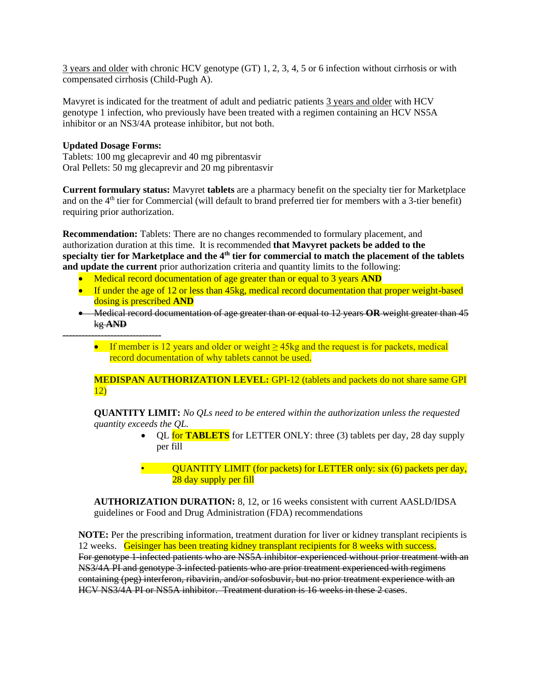3 years and older with chronic HCV genotype (GT) 1, 2, 3, 4, 5 or 6 infection without cirrhosis or with compensated cirrhosis (Child-Pugh A).

Mavyret is indicated for the treatment of adult and pediatric patients 3 years and older with HCV genotype 1 infection, who previously have been treated with a regimen containing an HCV NS5A inhibitor or an NS3/4A protease inhibitor, but not both.

#### **Updated Dosage Forms:**

-------------------------------

Tablets: 100 mg glecaprevir and 40 mg pibrentasvir Oral Pellets: 50 mg glecaprevir and 20 mg pibrentasvir

**Current formulary status:** Mavyret **tablets** are a pharmacy benefit on the specialty tier for Marketplace and on the 4<sup>th</sup> tier for Commercial (will default to brand preferred tier for members with a 3-tier benefit) requiring prior authorization.

**Recommendation:** Tablets: There are no changes recommended to formulary placement, and authorization duration at this time. It is recommended **that Mavyret packets be added to the specialty tier for Marketplace and the 4th tier for commercial to match the placement of the tablets and update the current** prior authorization criteria and quantity limits to the following:

- Medical record documentation of age greater than or equal to 3 years **AND**
- If under the age of 12 or less than 45kg, medical record documentation that proper weight-based dosing is prescribed **AND**
- Medical record documentation of age greater than or equal to 12 years **OR** weight greater than 45 kg **AND**
	- If member is 12 years and older or weight  $\geq$  45kg and the request is for packets, medical record documentation of why tablets cannot be used.

**MEDISPAN AUTHORIZATION LEVEL:** GPI-12 (tablets and packets do not share same GPI 12)

**QUANTITY LIMIT:** *No QLs need to be entered within the authorization unless the requested quantity exceeds the QL.*

- QL **for TABLETS** for LETTER ONLY: three (3) tablets per day, 28 day supply per fill
	- QUANTITY LIMIT (for packets) for LETTER only: six (6) packets per day, 28 day supply per fill

**AUTHORIZATION DURATION:** 8, 12, or 16 weeks consistent with current AASLD/IDSA guidelines or Food and Drug Administration (FDA) recommendations

**NOTE:** Per the prescribing information, treatment duration for liver or kidney transplant recipients is 12 weeks. Geisinger has been treating kidney transplant recipients for 8 weeks with success. For genotype 1-infected patients who are NS5A inhibitor-experienced without prior treatment with an NS3/4A PI and genotype 3-infected patients who are prior treatment experienced with regimens containing (peg) interferon, ribavirin, and/or sofosbuvir, but no prior treatment experience with an HCV NS3/4A PI or NS5A inhibitor. Treatment duration is 16 weeks in these 2 cases.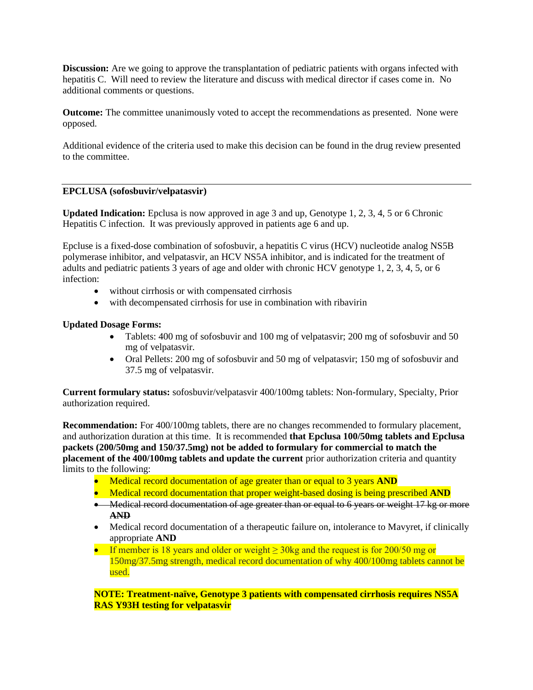**Discussion:** Are we going to approve the transplantation of pediatric patients with organs infected with hepatitis C. Will need to review the literature and discuss with medical director if cases come in. No additional comments or questions.

**Outcome:** The committee unanimously voted to accept the recommendations as presented. None were opposed.

Additional evidence of the criteria used to make this decision can be found in the drug review presented to the committee.

#### **EPCLUSA (sofosbuvir/velpatasvir)**

**Updated Indication:** Epclusa is now approved in age 3 and up, Genotype 1, 2, 3, 4, 5 or 6 Chronic Hepatitis C infection. It was previously approved in patients age 6 and up.

Epcluse is a fixed-dose combination of sofosbuvir, a hepatitis C virus (HCV) nucleotide analog NS5B polymerase inhibitor, and velpatasvir, an HCV NS5A inhibitor, and is indicated for the treatment of adults and pediatric patients 3 years of age and older with chronic HCV genotype 1, 2, 3, 4, 5, or 6 infection:

- without cirrhosis or with compensated cirrhosis
- with decompensated cirrhosis for use in combination with ribavirin

#### **Updated Dosage Forms:**

- Tablets: 400 mg of sofosbuvir and 100 mg of velpatasvir; 200 mg of sofosbuvir and 50 mg of velpatasvir.
- Oral Pellets: 200 mg of sofosbuvir and 50 mg of velpatasvir; 150 mg of sofosbuvir and 37.5 mg of velpatasvir.

**Current formulary status:** sofosbuvir/velpatasvir 400/100mg tablets: Non-formulary, Specialty, Prior authorization required.

**Recommendation:** For 400/100mg tablets, there are no changes recommended to formulary placement, and authorization duration at this time. It is recommended **that Epclusa 100/50mg tablets and Epclusa packets (200/50mg and 150/37.5mg) not be added to formulary for commercial to match the placement of the 400/100mg tablets and update the current** prior authorization criteria and quantity limits to the following:

- Medical record documentation of age greater than or equal to 3 years **AND**
- Medical record documentation that proper weight-based dosing is being prescribed **AND**
- Medical record documentation of age greater than or equal to 6 years or weight 17 kg or more **AND**
- Medical record documentation of a therapeutic failure on, intolerance to Mavyret, if clinically appropriate **AND**
- If member is 18 years and older or weight  $\geq$  30kg and the request is for 200/50 mg or 150mg/37.5mg strength, medical record documentation of why 400/100mg tablets cannot be used.

**NOTE: Treatment-naïve, Genotype 3 patients with compensated cirrhosis requires NS5A RAS Y93H testing for velpatasvir**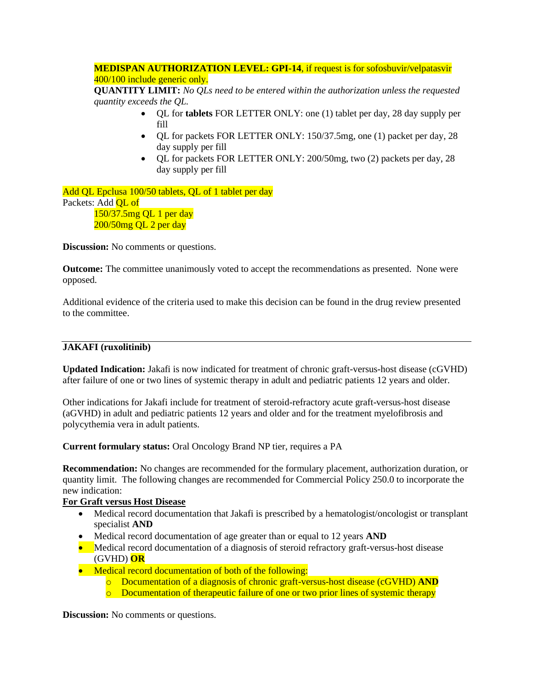# **MEDISPAN AUTHORIZATION LEVEL: GPI-14**, if request is for sofosbuvir/velpatasvir 400/100 include generic only.

**QUANTITY LIMIT:** *No QLs need to be entered within the authorization unless the requested quantity exceeds the QL.*

- QL for **tablets** FOR LETTER ONLY: one (1) tablet per day, 28 day supply per fill
- OL for packets FOR LETTER ONLY: 150/37.5mg, one (1) packet per day, 28 day supply per fill
- QL for packets FOR LETTER ONLY: 200/50mg, two (2) packets per day, 28 day supply per fill

Add QL Epclusa 100/50 tablets, QL of 1 tablet per day Packets: Add OL of 150/37.5mg QL 1 per day 200/50mg QL 2 per day

**Discussion:** No comments or questions.

**Outcome:** The committee unanimously voted to accept the recommendations as presented. None were opposed.

Additional evidence of the criteria used to make this decision can be found in the drug review presented to the committee.

# **JAKAFI (ruxolitinib)**

**Updated Indication:** Jakafi is now indicated for treatment of chronic graft-versus-host disease (cGVHD) after failure of one or two lines of systemic therapy in adult and pediatric patients 12 years and older.

Other indications for Jakafi include for treatment of steroid-refractory acute graft-versus-host disease (aGVHD) in adult and pediatric patients 12 years and older and for the treatment myelofibrosis and polycythemia vera in adult patients.

**Current formulary status:** Oral Oncology Brand NP tier, requires a PA

**Recommendation:** No changes are recommended for the formulary placement, authorization duration, or quantity limit. The following changes are recommended for Commercial Policy 250.0 to incorporate the new indication:

## **For Graft versus Host Disease**

- Medical record documentation that Jakafi is prescribed by a hematologist/oncologist or transplant specialist **AND**
- Medical record documentation of age greater than or equal to 12 years **AND**
- Medical record documentation of a diagnosis of steroid refractory graft-versus-host disease (GVHD) **OR**
- Medical record documentation of both of the following:
	- o Documentation of a diagnosis of chronic graft-versus-host disease (cGVHD) **AND**
	- o Documentation of therapeutic failure of one or two prior lines of systemic therapy

**Discussion:** No comments or questions.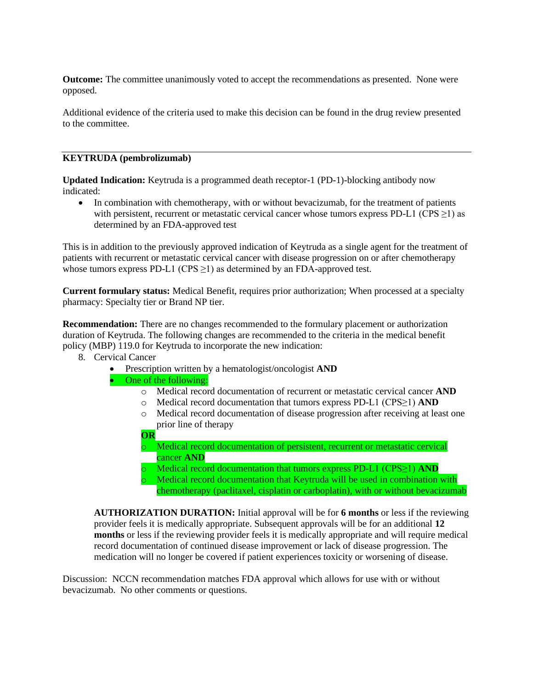**Outcome:** The committee unanimously voted to accept the recommendations as presented. None were opposed.

Additional evidence of the criteria used to make this decision can be found in the drug review presented to the committee.

#### **KEYTRUDA (pembrolizumab)**

**Updated Indication:** Keytruda is a programmed death receptor-1 (PD-1)-blocking antibody now indicated:

• In combination with chemotherapy, with or without bevacizumab, for the treatment of patients with persistent, recurrent or metastatic cervical cancer whose tumors express PD-L1 (CPS  $\geq$ 1) as determined by an FDA-approved test

This is in addition to the previously approved indication of Keytruda as a single agent for the treatment of patients with recurrent or metastatic cervical cancer with disease progression on or after chemotherapy whose tumors express PD-L1 (CPS  $\geq$ 1) as determined by an FDA-approved test.

**Current formulary status:** Medical Benefit, requires prior authorization; When processed at a specialty pharmacy: Specialty tier or Brand NP tier.

**Recommendation:** There are no changes recommended to the formulary placement or authorization duration of Keytruda. The following changes are recommended to the criteria in the medical benefit policy (MBP) 119.0 for Keytruda to incorporate the new indication:

- 8. Cervical Cancer
	- Prescription written by a hematologist/oncologist **AND**
	- One of the following:
		- o Medical record documentation of recurrent or metastatic cervical cancer **AND**
		- o Medical record documentation that tumors express PD-L1 (CPS≥1) **AND**
		- o Medical record documentation of disease progression after receiving at least one prior line of therapy
		- **OR**
		- o Medical record documentation of persistent, recurrent or metastatic cervical cancer **AND**
		- o Medical record documentation that tumors express PD-L1 (CPS≥1) **AND**
		- o Medical record documentation that Keytruda will be used in combination with chemotherapy (paclitaxel, cisplatin or carboplatin), with or without bevacizumab

**AUTHORIZATION DURATION:** Initial approval will be for **6 months** or less if the reviewing provider feels it is medically appropriate. Subsequent approvals will be for an additional **12 months** or less if the reviewing provider feels it is medically appropriate and will require medical record documentation of continued disease improvement or lack of disease progression. The medication will no longer be covered if patient experiences toxicity or worsening of disease.

Discussion: NCCN recommendation matches FDA approval which allows for use with or without bevacizumab. No other comments or questions.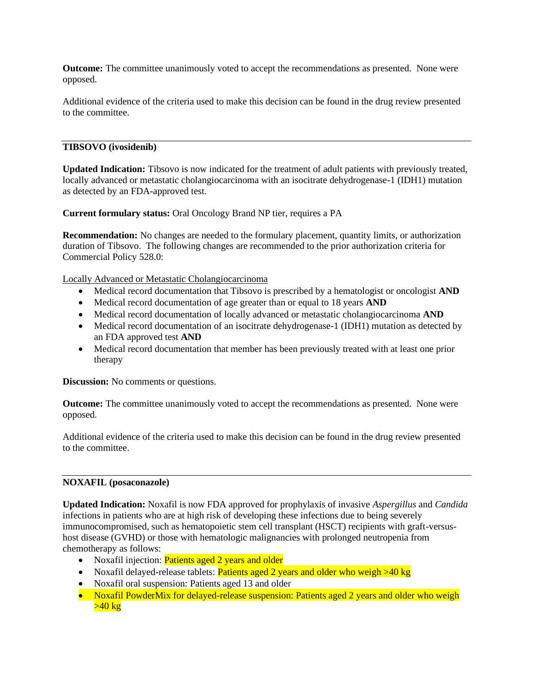**Outcome:** The committee unanimously voted to accept the recommendations as presented. None were opposed.

Additional evidence of the criteria used to make this decision can be found in the drug review presented to the committee.

## **TIBSOVO (ivosidenib)**

**Updated Indication:** Tibsovo is now indicated for the treatment of adult patients with previously treated, locally advanced or metastatic cholangiocarcinoma with an isocitrate dehydrogenase-1 (IDH1) mutation as detected by an FDA-approved test.

**Current formulary status:** Oral Oncology Brand NP tier, requires a PA

**Recommendation:** No changes are needed to the formulary placement, quantity limits, or authorization duration of Tibsovo. The following changes are recommended to the prior authorization criteria for Commercial Policy 528.0:

Locally Advanced or Metastatic Cholangiocarcinoma

- Medical record documentation that Tibsovo is prescribed by a hematologist or oncologist **AND**
- Medical record documentation of age greater than or equal to 18 years **AND**
- Medical record documentation of locally advanced or metastatic cholangiocarcinoma **AND**
- Medical record documentation of an isocitrate dehydrogenase-1 (IDH1) mutation as detected by an FDA approved test **AND**
- Medical record documentation that member has been previously treated with at least one prior therapy

**Discussion:** No comments or questions.

**Outcome:** The committee unanimously voted to accept the recommendations as presented. None were opposed.

Additional evidence of the criteria used to make this decision can be found in the drug review presented to the committee.

#### **NOXAFIL (posaconazole)**

**Updated Indication:** Noxafil is now FDA approved for prophylaxis of invasive *Aspergillus* and *Candida* infections in patients who are at high risk of developing these infections due to being severely immunocompromised, such as hematopoietic stem cell transplant (HSCT) recipients with graft-versushost disease (GVHD) or those with hematologic malignancies with prolonged neutropenia from chemotherapy as follows:

- Noxafil injection: Patients aged 2 years and older
- Noxafil delayed-release tablets: **Patients aged 2 years and older who weigh >40 kg**
- Noxafil oral suspension: Patients aged 13 and older
- Noxafil PowderMix for delayed-release suspension: Patients aged 2 years and older who weigh  $>40$  kg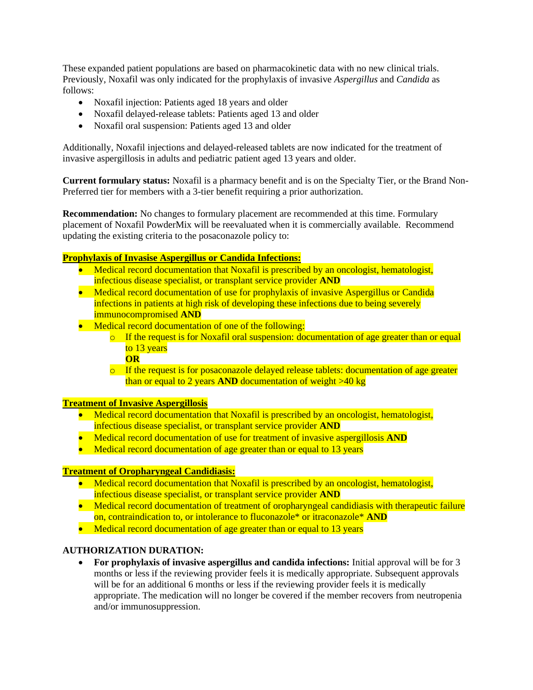These expanded patient populations are based on pharmacokinetic data with no new clinical trials. Previously, Noxafil was only indicated for the prophylaxis of invasive *Aspergillus* and *Candida* as follows:

- Noxafil injection: Patients aged 18 years and older
- Noxafil delayed-release tablets: Patients aged 13 and older
- Noxafil oral suspension: Patients aged 13 and older

Additionally, Noxafil injections and delayed-released tablets are now indicated for the treatment of invasive aspergillosis in adults and pediatric patient aged 13 years and older.

**Current formulary status:** Noxafil is a pharmacy benefit and is on the Specialty Tier, or the Brand Non-Preferred tier for members with a 3-tier benefit requiring a prior authorization.

**Recommendation:** No changes to formulary placement are recommended at this time. Formulary placement of Noxafil PowderMix will be reevaluated when it is commercially available. Recommend updating the existing criteria to the posaconazole policy to:

# **Prophylaxis of Invasise Aspergillus or Candida Infections:**

- Medical record documentation that Noxafil is prescribed by an oncologist, hematologist, infectious disease specialist, or transplant service provider **AND**
- Medical record documentation of use for prophylaxis of invasive Aspergillus or Candida infections in patients at high risk of developing these infections due to being severely immunocompromised **AND**
- Medical record documentation of one of the following:
	- $\circ$  If the request is for Noxafil oral suspension: documentation of age greater than or equal to 13 years
		- **OR**
	- $\circ$  If the request is for posaconazole delayed release tablets: documentation of age greater than or equal to 2 years **AND** documentation of weight >40 kg

## **Treatment of Invasive Aspergillosis**

- Medical record documentation that Noxafil is prescribed by an oncologist, hematologist, infectious disease specialist, or transplant service provider **AND**
- Medical record documentation of use for treatment of invasive aspergillosis **AND**
- Medical record documentation of age greater than or equal to 13 years

#### **Treatment of Oropharyngeal Candidiasis:**

- Medical record documentation that Noxafil is prescribed by an oncologist, hematologist, infectious disease specialist, or transplant service provider **AND**
- Medical record documentation of treatment of oropharyngeal candidiasis with therapeutic failure on, contraindication to, or intolerance to fluconazole\* or itraconazole\* **AND**
- Medical record documentation of age greater than or equal to 13 years

## **AUTHORIZATION DURATION:**

• **For prophylaxis of invasive aspergillus and candida infections:** Initial approval will be for 3 months or less if the reviewing provider feels it is medically appropriate. Subsequent approvals will be for an additional 6 months or less if the reviewing provider feels it is medically appropriate. The medication will no longer be covered if the member recovers from neutropenia and/or immunosuppression.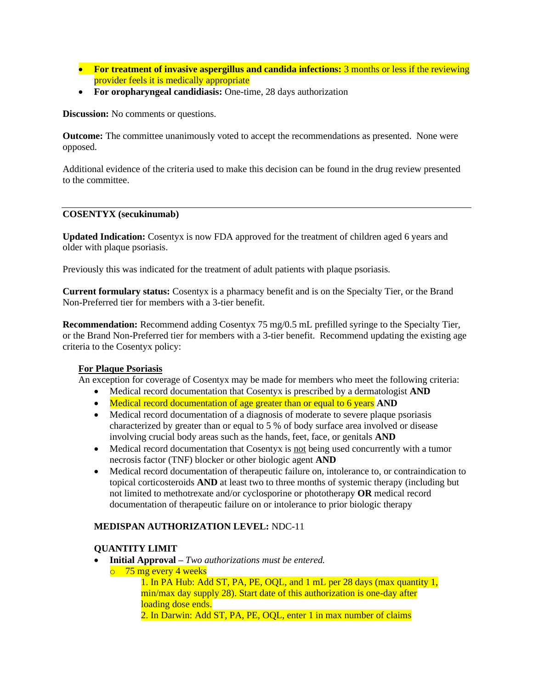- **For treatment of invasive aspergillus and candida infections:** 3 months or less if the reviewing provider feels it is medically appropriate
- **For oropharyngeal candidiasis:** One-time, 28 days authorization

**Discussion:** No comments or questions.

**Outcome:** The committee unanimously voted to accept the recommendations as presented. None were opposed.

Additional evidence of the criteria used to make this decision can be found in the drug review presented to the committee.

#### **COSENTYX (secukinumab)**

**Updated Indication:** Cosentyx is now FDA approved for the treatment of children aged 6 years and older with plaque psoriasis.

Previously this was indicated for the treatment of adult patients with plaque psoriasis.

**Current formulary status:** Cosentyx is a pharmacy benefit and is on the Specialty Tier, or the Brand Non-Preferred tier for members with a 3-tier benefit.

**Recommendation:** Recommend adding Cosentyx 75 mg/0.5 mL prefilled syringe to the Specialty Tier, or the Brand Non-Preferred tier for members with a 3-tier benefit. Recommend updating the existing age criteria to the Cosentyx policy:

## **For Plaque Psoriasis**

An exception for coverage of Cosentyx may be made for members who meet the following criteria:

- Medical record documentation that Cosentyx is prescribed by a dermatologist **AND**
- Medical record documentation of age greater than or equal to 6 years **AND**
- Medical record documentation of a diagnosis of moderate to severe plaque psoriasis characterized by greater than or equal to 5 % of body surface area involved or disease involving crucial body areas such as the hands, feet, face, or genitals **AND**
- Medical record documentation that Cosentyx is not being used concurrently with a tumor necrosis factor (TNF) blocker or other biologic agent **AND**
- Medical record documentation of therapeutic failure on, intolerance to, or contraindication to topical corticosteroids **AND** at least two to three months of systemic therapy (including but not limited to methotrexate and/or cyclosporine or phototherapy **OR** medical record documentation of therapeutic failure on or intolerance to prior biologic therapy

## **MEDISPAN AUTHORIZATION LEVEL:** NDC-11

## **QUANTITY LIMIT**

- **Initial Approval –** *Two authorizations must be entered.*
- o 75 mg every 4 weeks

1. In PA Hub: Add ST, PA, PE, OQL, and 1 mL per 28 days (max quantity 1, min/max day supply 28). Start date of this authorization is one-day after loading dose ends.

2. In Darwin: Add ST, PA, PE, OQL, enter 1 in max number of claims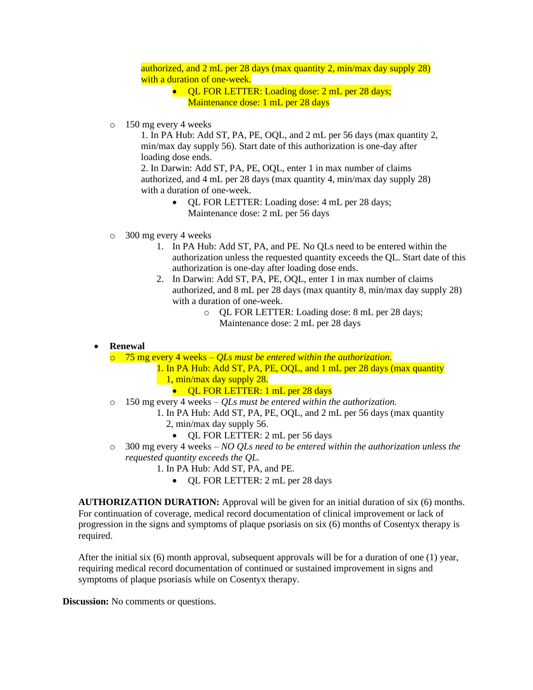authorized, and 2 mL per 28 days (max quantity 2, min/max day supply 28) with a duration of one-week.

- QL FOR LETTER: Loading dose: 2 mL per 28 days; Maintenance dose: 1 mL per 28 days
- o 150 mg every 4 weeks

1. In PA Hub: Add ST, PA, PE, OQL, and 2 mL per 56 days (max quantity 2, min/max day supply 56). Start date of this authorization is one-day after loading dose ends.

2. In Darwin: Add ST, PA, PE, OQL, enter 1 in max number of claims authorized, and 4 mL per 28 days (max quantity 4, min/max day supply 28) with a duration of one-week.

- QL FOR LETTER: Loading dose: 4 mL per 28 days; Maintenance dose: 2 mL per 56 days
- o 300 mg every 4 weeks
	- 1. In PA Hub: Add ST, PA, and PE. No QLs need to be entered within the authorization unless the requested quantity exceeds the QL. Start date of this authorization is one-day after loading dose ends.
	- 2. In Darwin: Add ST, PA, PE, OQL, enter 1 in max number of claims authorized, and 8 mL per 28 days (max quantity 8, min/max day supply 28) with a duration of one-week.
		- o QL FOR LETTER: Loading dose: 8 mL per 28 days; Maintenance dose: 2 mL per 28 days

• **Renewal** 

o 75 mg every 4 weeks – *QLs must be entered within the authorization.* 

1. In PA Hub: Add ST, PA, PE, OQL, and 1 mL per 28 days (max quantity 1, min/max day supply 28.

• **QL FOR LETTER:** 1 mL per 28 days

- o 150 mg every 4 weeks *QLs must be entered within the authorization.* 
	- 1. In PA Hub: Add ST, PA, PE, OQL, and 2 mL per 56 days (max quantity 2, min/max day supply 56.
		- QL FOR LETTER: 2 mL per 56 days
- o 300 mg every 4 weeks *NO QLs need to be entered within the authorization unless the requested quantity exceeds the QL.* 
	- 1. In PA Hub: Add ST, PA, and PE.
		- QL FOR LETTER: 2 mL per 28 days

**AUTHORIZATION DURATION:** Approval will be given for an initial duration of six (6) months. For continuation of coverage, medical record documentation of clinical improvement or lack of progression in the signs and symptoms of plaque psoriasis on six (6) months of Cosentyx therapy is required.

After the initial six (6) month approval, subsequent approvals will be for a duration of one (1) year, requiring medical record documentation of continued or sustained improvement in signs and symptoms of plaque psoriasis while on Cosentyx therapy.

**Discussion:** No comments or questions.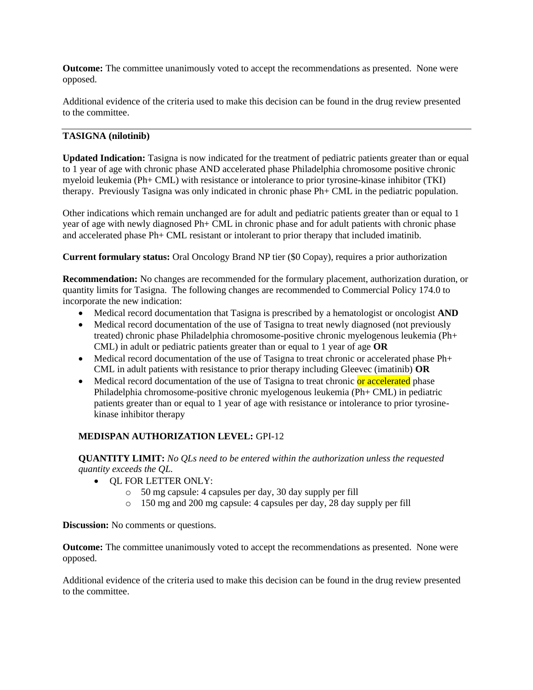**Outcome:** The committee unanimously voted to accept the recommendations as presented. None were opposed.

Additional evidence of the criteria used to make this decision can be found in the drug review presented to the committee.

# **TASIGNA (nilotinib)**

**Updated Indication:** Tasigna is now indicated for the treatment of pediatric patients greater than or equal to 1 year of age with chronic phase AND accelerated phase Philadelphia chromosome positive chronic myeloid leukemia (Ph+ CML) with resistance or intolerance to prior tyrosine-kinase inhibitor (TKI) therapy. Previously Tasigna was only indicated in chronic phase Ph+ CML in the pediatric population.

Other indications which remain unchanged are for adult and pediatric patients greater than or equal to 1 year of age with newly diagnosed Ph+ CML in chronic phase and for adult patients with chronic phase and accelerated phase Ph+ CML resistant or intolerant to prior therapy that included imatinib.

**Current formulary status:** Oral Oncology Brand NP tier (\$0 Copay), requires a prior authorization

**Recommendation:** No changes are recommended for the formulary placement, authorization duration, or quantity limits for Tasigna. The following changes are recommended to Commercial Policy 174.0 to incorporate the new indication:

- Medical record documentation that Tasigna is prescribed by a hematologist or oncologist **AND**
- Medical record documentation of the use of Tasigna to treat newly diagnosed (not previously treated) chronic phase Philadelphia chromosome-positive chronic myelogenous leukemia (Ph+ CML) in adult or pediatric patients greater than or equal to 1 year of age **OR**
- Medical record documentation of the use of Tasigna to treat chronic or accelerated phase Ph+ CML in adult patients with resistance to prior therapy including Gleevec (imatinib) **OR**
- Medical record documentation of the use of Tasigna to treat chronic or accelerated phase Philadelphia chromosome-positive chronic myelogenous leukemia (Ph+ CML) in pediatric patients greater than or equal to 1 year of age with resistance or intolerance to prior tyrosinekinase inhibitor therapy

# **MEDISPAN AUTHORIZATION LEVEL:** GPI-12

**QUANTITY LIMIT:** *No QLs need to be entered within the authorization unless the requested quantity exceeds the QL.*

- QL FOR LETTER ONLY:
	- o 50 mg capsule: 4 capsules per day, 30 day supply per fill
	- o 150 mg and 200 mg capsule: 4 capsules per day, 28 day supply per fill

**Discussion:** No comments or questions.

**Outcome:** The committee unanimously voted to accept the recommendations as presented. None were opposed.

Additional evidence of the criteria used to make this decision can be found in the drug review presented to the committee.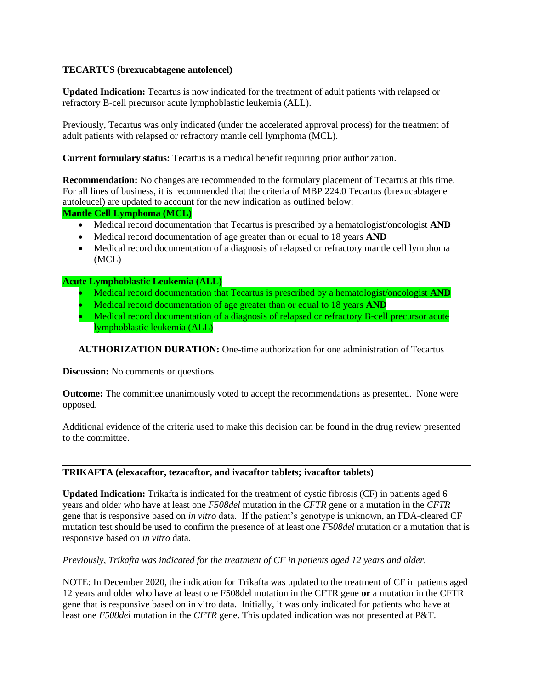# **TECARTUS (brexucabtagene autoleucel)**

**Updated Indication:** Tecartus is now indicated for the treatment of adult patients with relapsed or refractory B-cell precursor acute lymphoblastic leukemia (ALL).

Previously, Tecartus was only indicated (under the accelerated approval process) for the treatment of adult patients with relapsed or refractory mantle cell lymphoma (MCL).

**Current formulary status:** Tecartus is a medical benefit requiring prior authorization.

**Recommendation:** No changes are recommended to the formulary placement of Tecartus at this time. For all lines of business, it is recommended that the criteria of MBP 224.0 Tecartus (brexucabtagene autoleucel) are updated to account for the new indication as outlined below:

## **Mantle Cell Lymphoma (MCL)**

- Medical record documentation that Tecartus is prescribed by a hematologist/oncologist **AND**
- Medical record documentation of age greater than or equal to 18 years **AND**
- Medical record documentation of a diagnosis of relapsed or refractory mantle cell lymphoma (MCL)

# **Acute Lymphoblastic Leukemia (ALL)**

- Medical record documentation that Tecartus is prescribed by a hematologist/oncologist **AND**
- Medical record documentation of age greater than or equal to 18 years **AND**
- Medical record documentation of a diagnosis of relapsed or refractory B-cell precursor acute lymphoblastic leukemia (ALL)

**AUTHORIZATION DURATION:** One-time authorization for one administration of Tecartus

**Discussion:** No comments or questions.

**Outcome:** The committee unanimously voted to accept the recommendations as presented. None were opposed.

Additional evidence of the criteria used to make this decision can be found in the drug review presented to the committee.

## **TRIKAFTA (elexacaftor, tezacaftor, and ivacaftor tablets; ivacaftor tablets)**

**Updated Indication:** Trikafta is indicated for the treatment of cystic fibrosis (CF) in patients aged 6 years and older who have at least one *F508del* mutation in the *CFTR* gene or a mutation in the *CFTR* gene that is responsive based on *in vitro* data. If the patient's genotype is unknown, an FDA-cleared CF mutation test should be used to confirm the presence of at least one *F508del* mutation or a mutation that is responsive based on *in vitro* data.

*Previously, Trikafta was indicated for the treatment of CF in patients aged 12 years and older.* 

NOTE: In December 2020, the indication for Trikafta was updated to the treatment of CF in patients aged 12 years and older who have at least one F508del mutation in the CFTR gene **or** a mutation in the CFTR gene that is responsive based on in vitro data. Initially, it was only indicated for patients who have at least one *F508del* mutation in the *CFTR* gene. This updated indication was not presented at P&T.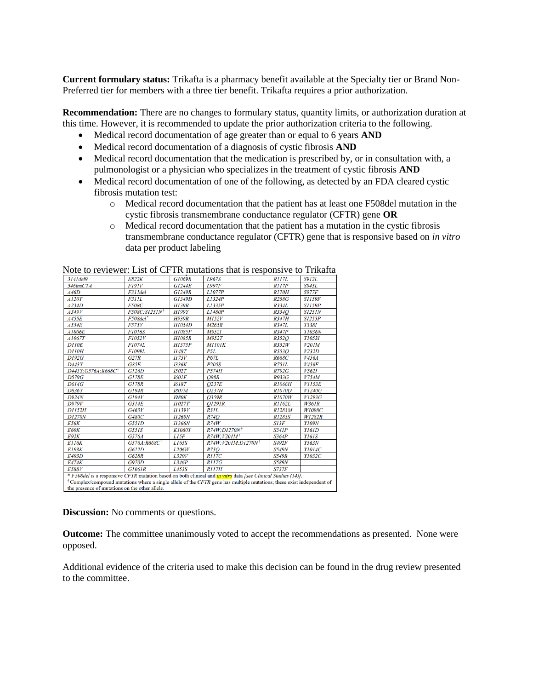**Current formulary status:** Trikafta is a pharmacy benefit available at the Specialty tier or Brand Non-Preferred tier for members with a three tier benefit. Trikafta requires a prior authorization.

**Recommendation:** There are no changes to formulary status, quantity limits, or authorization duration at this time. However, it is recommended to update the prior authorization criteria to the following.

- Medical record documentation of age greater than or equal to 6 years **AND**
- Medical record documentation of a diagnosis of cystic fibrosis **AND**
- Medical record documentation that the medication is prescribed by, or in consultation with, a pulmonologist or a physician who specializes in the treatment of cystic fibrosis **AND**
- Medical record documentation of one of the following, as detected by an FDA cleared cystic fibrosis mutation test:
	- o Medical record documentation that the patient has at least one F508del mutation in the cystic fibrosis transmembrane conductance regulator (CFTR) gene **OR**
	- o Medical record documentation that the patient has a mutation in the cystic fibrosis transmembrane conductance regulator (CFTR) gene that is responsive based on *in vitro*  data per product labeling

| 3141 del 9                                                                                                                     | <b>E822K</b>              | G1069R              | L967S                            | RII7L         | <b>S912L</b>         |  |  |
|--------------------------------------------------------------------------------------------------------------------------------|---------------------------|---------------------|----------------------------------|---------------|----------------------|--|--|
| 546insCTA                                                                                                                      | F191V                     | <b>G1244E</b>       | <b>L997F</b>                     | RII7P         | S945L                |  |  |
| A46D                                                                                                                           | F311del                   | <b>G1249R</b>       | L1077P                           | <b>R170H</b>  | <b>S977F</b>         |  |  |
| A120T                                                                                                                          | <b>F311L</b>              | G1349D              | L1324P                           | <b>R258G</b>  | <i><b>S1159F</b></i> |  |  |
| A234D                                                                                                                          | <b>F508C</b>              | <b>H139R</b>        | L1335P                           | R334L         | <b>S1159P</b>        |  |  |
| A349V                                                                                                                          | F508C;S1251N <sup>+</sup> | <b>H199Y</b>        | L1480P                           | R334O         | <b>S1251N</b>        |  |  |
| A455E                                                                                                                          | F508del*                  | <b>H939R</b>        | M152V                            | <b>R347H</b>  | <b>S1255P</b>        |  |  |
| A554E                                                                                                                          | <b>F575Y</b>              | H1054D              | M265R                            | R347L         | <b>T338I</b>         |  |  |
| A1006E                                                                                                                         | <b>F1016S</b>             | <b>H1085P</b>       | <b>M9521</b>                     | R347P         | <b>T1036N</b>        |  |  |
| A1067T                                                                                                                         | F1052V                    | H1085R              | <b>M952T</b>                     | R352O         | <b>T1053I</b>        |  |  |
| <b>D110E</b>                                                                                                                   | <b>F1074L</b>             | <b>H1375P</b>       | <b>M1101K</b>                    | <b>R352W</b>  | V20IM                |  |  |
| <b>D110H</b>                                                                                                                   | <b>F1099L</b>             | <b>H48T</b>         | P5L                              | R553O         | V232D                |  |  |
| <b>D192G</b>                                                                                                                   | G27R                      | II75V               | <b>P67L</b>                      | <b>R668C</b>  | V456A                |  |  |
| D443Y                                                                                                                          | G85E                      | <b>I336K</b>        | <b>P205S</b>                     | R751L         | V456F                |  |  |
| D443Y; G576A; R668C <sup>†</sup>                                                                                               | GI26D                     | <b>I502T</b>        | <b>P574H</b>                     | <b>R792G</b>  | <i>V562I</i>         |  |  |
| <b>D579G</b>                                                                                                                   | <b>G178E</b>              | <b>I601F</b>        | <b>O98R</b>                      | <b>R933G</b>  | V754M                |  |  |
| <b>D614G</b>                                                                                                                   | <b>G178R</b>              | <i><b>I618T</b></i> | O237E                            | <b>R1066H</b> | <b>V1153E</b>        |  |  |
| <b>D836Y</b>                                                                                                                   | GI94R                     | <b>I807M</b>        | O <sub>237H</sub>                | <i>R1070O</i> | V1240G               |  |  |
| D924N                                                                                                                          | GI94V                     | <b>I980K</b>        | O359R                            | <b>R1070W</b> | V1293G               |  |  |
| <b>D979V</b>                                                                                                                   | G314E                     | II027T              | O1291R                           | R1162L        | <b>W361R</b>         |  |  |
| <b>D1152H</b>                                                                                                                  | G463V                     | II139V              | R31L                             | R1283M        | W1098C               |  |  |
| <b>D1270N</b>                                                                                                                  | G480C                     | <b>I1269N</b>       | <b>R74O</b>                      | <b>R1283S</b> | <b>W1282R</b>        |  |  |
| E56K                                                                                                                           | G551D                     | <b>II366N</b>       | R74W                             | S13F          | <b>Y109N</b>         |  |  |
| <b>E60K</b>                                                                                                                    | G55IS                     | <b>K1060T</b>       | R74W:D1270N <sup>+</sup>         | <b>S341P</b>  | Y161D                |  |  |
| <b>E92K</b>                                                                                                                    | G576A                     | L15P                | $R74W;V20IM^{\dagger}$           | <b>S364P</b>  | <i>Y161S</i>         |  |  |
| <b>E116K</b>                                                                                                                   | G576A;R668C <sup>+</sup>  | L165S               | R74W; V201M; D1270N <sup>†</sup> | <b>S492F</b>  | Y563N                |  |  |
| <b>E193K</b>                                                                                                                   | G622D                     | L206W               | <b>R75O</b>                      | <b>S549N</b>  | Y1014C               |  |  |
| E403D                                                                                                                          | <b>G628R</b>              | L320V               | <b>R117C</b>                     | <b>S549R</b>  | Y1032C               |  |  |
| <b>E474K</b>                                                                                                                   | <b>G970D</b>              | L346P               | <i>R117G</i>                     | <b>S589N</b>  |                      |  |  |
| E588V                                                                                                                          | G1061R                    | L453S               | RII7H                            | <b>S737F</b>  |                      |  |  |
| * F508del is a responsive CFTR mutation based on both clinical and <i>in vitro</i> data [see Clinical Studies (14)].           |                           |                     |                                  |               |                      |  |  |
| $\dagger$ Complex/compound mutations where a single allele of the CFTR gene has multiple mutations; these exist independent of |                           |                     |                                  |               |                      |  |  |
| the presence of mutations on the other allele.                                                                                 |                           |                     |                                  |               |                      |  |  |

Note to reviewer: List of CFTR mutations that is responsive to Trikafta

**Discussion:** No comments or questions.

**Outcome:** The committee unanimously voted to accept the recommendations as presented. None were opposed.

Additional evidence of the criteria used to make this decision can be found in the drug review presented to the committee.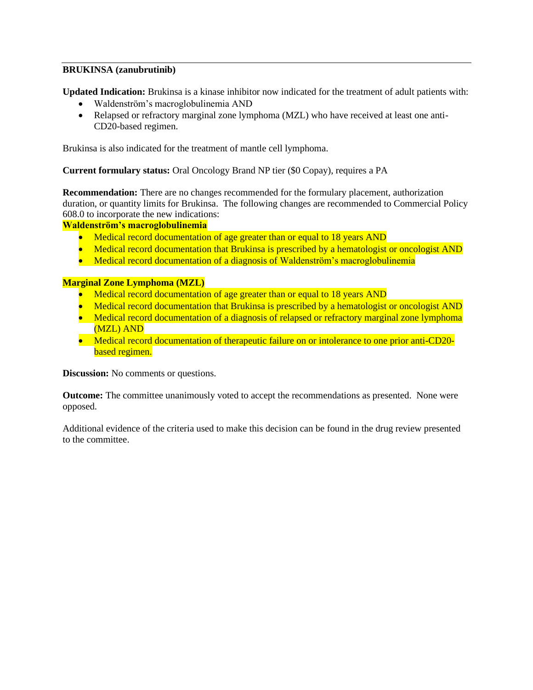# **BRUKINSA (zanubrutinib)**

**Updated Indication:** Brukinsa is a kinase inhibitor now indicated for the treatment of adult patients with:

- Waldenström's macroglobulinemia AND
- Relapsed or refractory marginal zone lymphoma (MZL) who have received at least one anti-CD20-based regimen.

Brukinsa is also indicated for the treatment of mantle cell lymphoma.

**Current formulary status:** Oral Oncology Brand NP tier (\$0 Copay), requires a PA

**Recommendation:** There are no changes recommended for the formulary placement, authorization duration, or quantity limits for Brukinsa. The following changes are recommended to Commercial Policy 608.0 to incorporate the new indications:

# **Waldenström's macroglobulinemia**

- Medical record documentation of age greater than or equal to 18 years AND
- Medical record documentation that Brukinsa is prescribed by a hematologist or oncologist AND
- Medical record documentation of a diagnosis of Waldenström's macroglobulinemia

# **Marginal Zone Lymphoma (MZL)**

- Medical record documentation of age greater than or equal to 18 years AND
- Medical record documentation that Brukinsa is prescribed by a hematologist or oncologist AND
- Medical record documentation of a diagnosis of relapsed or refractory marginal zone lymphoma (MZL) AND
- Medical record documentation of therapeutic failure on or intolerance to one prior anti-CD20based regimen.

**Discussion:** No comments or questions.

**Outcome:** The committee unanimously voted to accept the recommendations as presented. None were opposed.

Additional evidence of the criteria used to make this decision can be found in the drug review presented to the committee.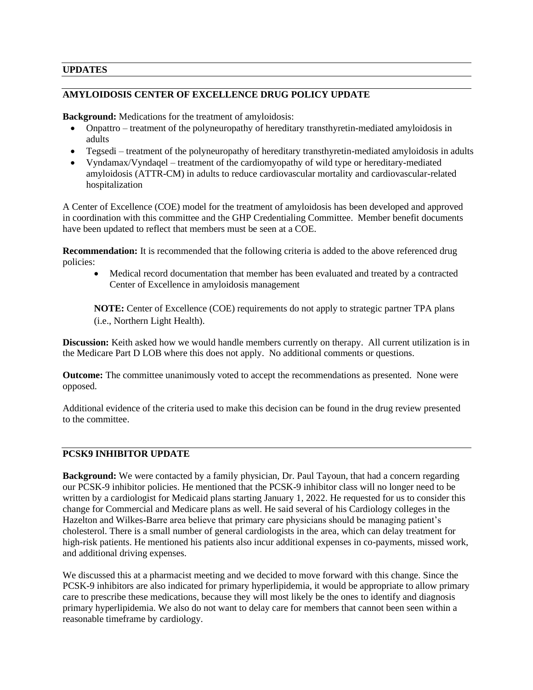# **UPDATES**

# **AMYLOIDOSIS CENTER OF EXCELLENCE DRUG POLICY UPDATE**

**Background:** Medications for the treatment of amyloidosis:

- Onpattro treatment of the polyneuropathy of hereditary transthyretin-mediated amyloidosis in adults
- Tegsedi treatment of the polyneuropathy of hereditary transthyretin-mediated amyloidosis in adults
- Vyndamax/Vyndaqel treatment of the cardiomyopathy of wild type or hereditary-mediated amyloidosis (ATTR-CM) in adults to reduce cardiovascular mortality and cardiovascular-related hospitalization

A Center of Excellence (COE) model for the treatment of amyloidosis has been developed and approved in coordination with this committee and the GHP Credentialing Committee. Member benefit documents have been updated to reflect that members must be seen at a COE.

**Recommendation:** It is recommended that the following criteria is added to the above referenced drug policies:

• Medical record documentation that member has been evaluated and treated by a contracted Center of Excellence in amyloidosis management

**NOTE:** Center of Excellence (COE) requirements do not apply to strategic partner TPA plans (i.e., Northern Light Health).

**Discussion:** Keith asked how we would handle members currently on therapy. All current utilization is in the Medicare Part D LOB where this does not apply. No additional comments or questions.

**Outcome:** The committee unanimously voted to accept the recommendations as presented. None were opposed.

Additional evidence of the criteria used to make this decision can be found in the drug review presented to the committee.

# **PCSK9 INHIBITOR UPDATE**

**Background:** We were contacted by a family physician, Dr. Paul Tayoun, that had a concern regarding our PCSK-9 inhibitor policies. He mentioned that the PCSK-9 inhibitor class will no longer need to be written by a cardiologist for Medicaid plans starting January 1, 2022. He requested for us to consider this change for Commercial and Medicare plans as well. He said several of his Cardiology colleges in the Hazelton and Wilkes-Barre area believe that primary care physicians should be managing patient's cholesterol. There is a small number of general cardiologists in the area, which can delay treatment for high-risk patients. He mentioned his patients also incur additional expenses in co-payments, missed work, and additional driving expenses.

We discussed this at a pharmacist meeting and we decided to move forward with this change. Since the PCSK-9 inhibitors are also indicated for primary hyperlipidemia, it would be appropriate to allow primary care to prescribe these medications, because they will most likely be the ones to identify and diagnosis primary hyperlipidemia. We also do not want to delay care for members that cannot been seen within a reasonable timeframe by cardiology.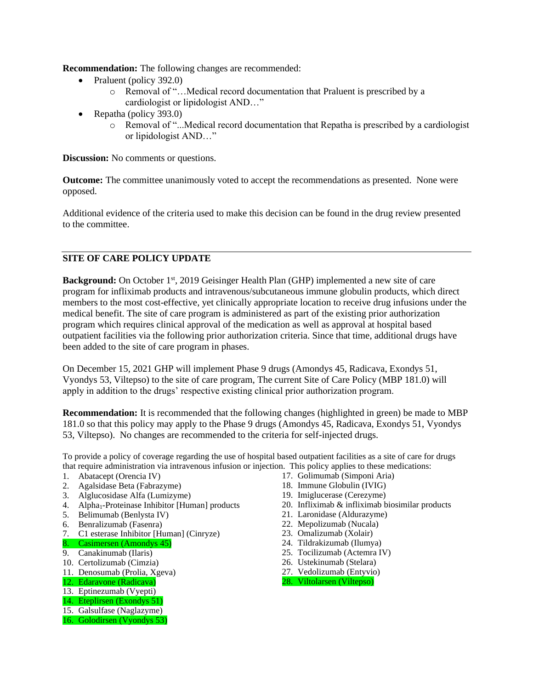**Recommendation:** The following changes are recommended:

- Praluent (policy 392.0)
	- o Removal of "…Medical record documentation that Praluent is prescribed by a cardiologist or lipidologist AND…"
- Repatha (policy 393.0)
	- o Removal of "...Medical record documentation that Repatha is prescribed by a cardiologist or lipidologist AND…"

**Discussion:** No comments or questions.

**Outcome:** The committee unanimously voted to accept the recommendations as presented. None were opposed.

Additional evidence of the criteria used to make this decision can be found in the drug review presented to the committee.

# **SITE OF CARE POLICY UPDATE**

**Background:** On October 1st, 2019 Geisinger Health Plan (GHP) implemented a new site of care program for infliximab products and intravenous/subcutaneous immune globulin products, which direct members to the most cost-effective, yet clinically appropriate location to receive drug infusions under the medical benefit. The site of care program is administered as part of the existing prior authorization program which requires clinical approval of the medication as well as approval at hospital based outpatient facilities via the following prior authorization criteria. Since that time, additional drugs have been added to the site of care program in phases.

On December 15, 2021 GHP will implement Phase 9 drugs (Amondys 45, Radicava, Exondys 51, Vyondys 53, Viltepso) to the site of care program, The current Site of Care Policy (MBP 181.0) will apply in addition to the drugs' respective existing clinical prior authorization program.

**Recommendation:** It is recommended that the following changes (highlighted in green) be made to MBP 181.0 so that this policy may apply to the Phase 9 drugs (Amondys 45, Radicava, Exondys 51, Vyondys 53, Viltepso). No changes are recommended to the criteria for self-injected drugs.

To provide a policy of coverage regarding the use of hospital based outpatient facilities as a site of care for drugs that require administration via intravenous infusion or injection. This policy applies to these medications:

- 1. Abatacept (Orencia IV)
- 2. Agalsidase Beta (Fabrazyme)
- 3. Alglucosidase Alfa (Lumizyme)
- 4. Alpha<sub>1</sub>-Proteinase Inhibitor [Human] products
- 5. Belimumab (Benlysta IV)
- 6. Benralizumab (Fasenra)
- 7. C1 esterase Inhibitor [Human] (Cinryze)
- 8. Casimersen (Amondys 45)
- 9. Canakinumab (Ilaris)
- 10. Certolizumab (Cimzia)
- 11. Denosumab (Prolia, Xgeva)
- 12. Edaravone (Radicava)
- 13. Eptinezumab (Vyepti)
- 14. Eteplirsen (Exondys 51)
- 15. Galsulfase (Naglazyme)
- 16. Golodirsen (Vyondys 53)
- 17. Golimumab (Simponi Aria)
- 18. Immune Globulin (IVIG)
- 19. Imiglucerase (Cerezyme)
- 20. Infliximab & infliximab biosimilar products
- 21. Laronidase (Aldurazyme)
- 22. Mepolizumab (Nucala)
- 23. Omalizumab (Xolair)
- 24. Tildrakizumab (Ilumya)
- 25. Tocilizumab (Actemra IV)
- 26. Ustekinumab (Stelara)
- 27. Vedolizumab (Entyvio)
- 28. Viltolarsen (Viltepso)